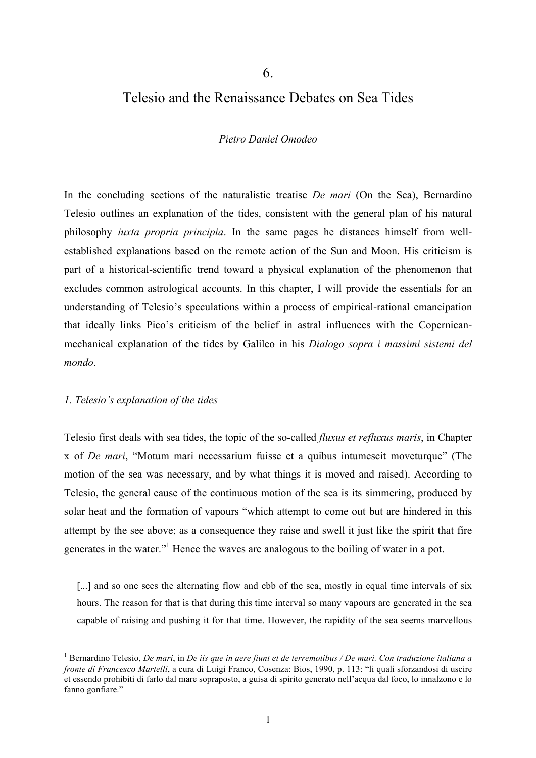6.

# Telesio and the Renaissance Debates on Sea Tides

#### *Pietro Daniel Omodeo*

In the concluding sections of the naturalistic treatise *De mari* (On the Sea), Bernardino Telesio outlines an explanation of the tides, consistent with the general plan of his natural philosophy *iuxta propria principia*. In the same pages he distances himself from wellestablished explanations based on the remote action of the Sun and Moon. His criticism is part of a historical-scientific trend toward a physical explanation of the phenomenon that excludes common astrological accounts. In this chapter, I will provide the essentials for an understanding of Telesio's speculations within a process of empirical-rational emancipation that ideally links Pico's criticism of the belief in astral influences with the Copernicanmechanical explanation of the tides by Galileo in his *Dialogo sopra i massimi sistemi del mondo*.

## *1. Telesio's explanation of the tides*

Telesio first deals with sea tides, the topic of the so-called *fluxus et refluxus maris*, in Chapter x of *De mari*, "Motum mari necessarium fuisse et a quibus intumescit moveturque" (The motion of the sea was necessary, and by what things it is moved and raised). According to Telesio, the general cause of the continuous motion of the sea is its simmering, produced by solar heat and the formation of vapours "which attempt to come out but are hindered in this attempt by the see above; as a consequence they raise and swell it just like the spirit that fire generates in the water."<sup>1</sup> Hence the waves are analogous to the boiling of water in a pot.

[...] and so one sees the alternating flow and ebb of the sea, mostly in equal time intervals of six hours. The reason for that is that during this time interval so many vapours are generated in the sea capable of raising and pushing it for that time. However, the rapidity of the sea seems marvellous

 <sup>1</sup> Bernardino Telesio, *De mari*, in *De iis que in aere fiunt et de terremotibus / De mari. Con traduzione italiana a fronte di Francesco Martelli*, a cura di Luigi Franco, Cosenza: Bios, 1990, p. 113: "li quali sforzandosi di uscire et essendo prohibiti di farlo dal mare sopraposto, a guisa di spirito generato nell'acqua dal foco, lo innalzono e lo fanno gonfiare."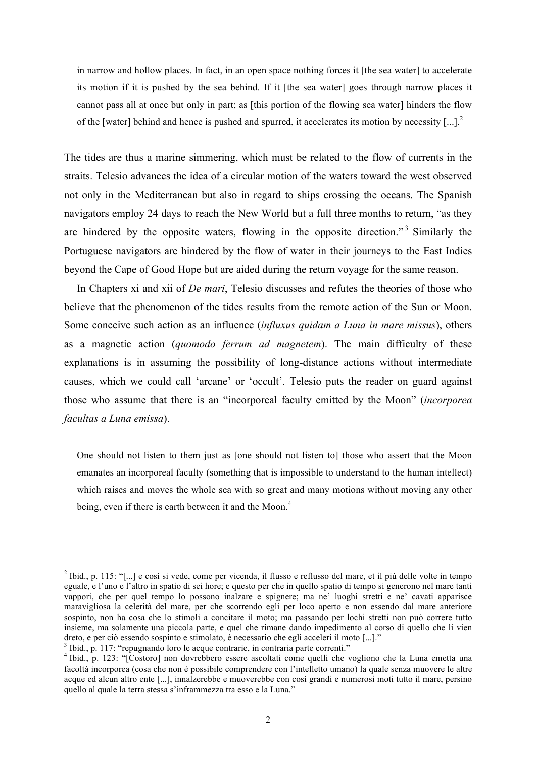in narrow and hollow places. In fact, in an open space nothing forces it [the sea water] to accelerate its motion if it is pushed by the sea behind. If it [the sea water] goes through narrow places it cannot pass all at once but only in part; as [this portion of the flowing sea water] hinders the flow of the [water] behind and hence is pushed and spurred, it accelerates its motion by necessity [...].<sup>2</sup>

The tides are thus a marine simmering, which must be related to the flow of currents in the straits. Telesio advances the idea of a circular motion of the waters toward the west observed not only in the Mediterranean but also in regard to ships crossing the oceans. The Spanish navigators employ 24 days to reach the New World but a full three months to return, "as they are hindered by the opposite waters, flowing in the opposite direction."<sup>3</sup> Similarly the Portuguese navigators are hindered by the flow of water in their journeys to the East Indies beyond the Cape of Good Hope but are aided during the return voyage for the same reason.

In Chapters xi and xii of *De mari*, Telesio discusses and refutes the theories of those who believe that the phenomenon of the tides results from the remote action of the Sun or Moon. Some conceive such action as an influence (*influxus quidam a Luna in mare missus*), others as a magnetic action (*quomodo ferrum ad magnetem*). The main difficulty of these explanations is in assuming the possibility of long-distance actions without intermediate causes, which we could call 'arcane' or 'occult'. Telesio puts the reader on guard against those who assume that there is an "incorporeal faculty emitted by the Moon" (*incorporea facultas a Luna emissa*).

One should not listen to them just as [one should not listen to] those who assert that the Moon emanates an incorporeal faculty (something that is impossible to understand to the human intellect) which raises and moves the whole sea with so great and many motions without moving any other being, even if there is earth between it and the Moon. 4

 $2$  Ibid., p. 115: "[...] e così si vede, come per vicenda, il flusso e reflusso del mare, et il più delle volte in tempo eguale, e l'uno e l'altro in spatio di sei hore; e questo per che in quello spatio di tempo si generono nel mare tanti vappori, che per quel tempo lo possono inalzare e spignere; ma ne' luoghi stretti e ne' cavati apparisce maravigliosa la celerità del mare, per che scorrendo egli per loco aperto e non essendo dal mare anteriore sospinto, non ha cosa che lo stimoli a concitare il moto; ma passando per lochi stretti non può correre tutto insieme, ma solamente una piccola parte, e quel che rimane dando impedimento al corso di quello che li vien dreto, e per ciò essendo sospinto e stimolato, è necessario che egli acceleri il moto [...]."

<sup>3</sup> Ibid., p. 117: "repugnando loro le acque contrarie, in contraria parte correnti."

<sup>4</sup> Ibid., p. 123: "[Costoro] non dovrebbero essere ascoltati come quelli che vogliono che la Luna emetta una facoltà incorporea (cosa che non è possibile comprendere con l'intelletto umano) la quale senza muovere le altre acque ed alcun altro ente [...], innalzerebbe e muoverebbe con così grandi e numerosi moti tutto il mare, persino quello al quale la terra stessa s'inframmezza tra esso e la Luna."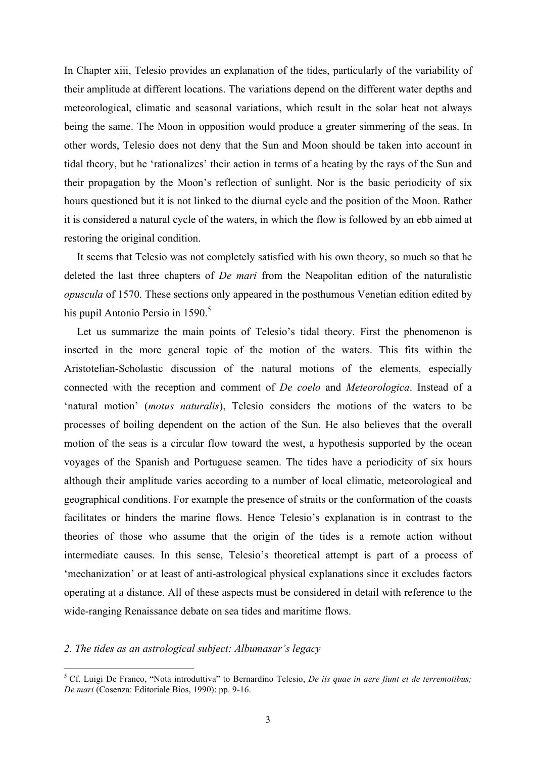In Chapter xiii, Telesio provides an explanation of the tides, particularly of the variability of their amplitude at different locations. The variations depend on the different water depths and meteorological, climatic and seasonal variations, which result in the solar heat not always being the same. The Moon in opposition would produce a greater simmering of the seas. In other words, Telesio does not deny that the Sun and Moon should be taken into account in tidal theory, but he 'rationalizes' their action in terms of a heating by the rays of the Sun and their propagation by the Moon's reflection of sunlight. Nor is the basic periodicity of six hours questioned but it is not linked to the diurnal cycle and the position of the Moon. Rather it is considered a natural cycle of the waters, in which the flow is followed by an ebb aimed at restoring the original condition.

It seems that Telesio was not completely satisfied with his own theory, so much so that he deleted the last three chapters of *De mari* from the Neapolitan edition of the naturalistic *opuscula* of 1570. These sections only appeared in the posthumous Venetian edition edited by his pupil Antonio Persio in 1590.<sup>5</sup>

Let us summarize the main points of Telesio's tidal theory. First the phenomenon is inserted in the more general topic of the motion of the waters. This fits within the Aristotelian-Scholastic discussion of the natural motions of the elements, especially connected with the reception and comment of *De coelo* and *Meteorologica*. Instead of a 'natural motion' (*motus naturalis*), Telesio considers the motions of the waters to be processes of boiling dependent on the action of the Sun. He also believes that the overall motion of the seas is a circular flow toward the west, a hypothesis supported by the ocean voyages of the Spanish and Portuguese seamen. The tides have a periodicity of six hours although their amplitude varies according to a number of local climatic, meteorological and geographical conditions. For example the presence of straits or the conformation of the coasts facilitates or hinders the marine flows. Hence Telesio's explanation is in contrast to the theories of those who assume that the origin of the tides is a remote action without intermediate causes. In this sense, Telesio's theoretical attempt is part of a process of 'mechanization' or at least of anti-astrological physical explanations since it excludes factors operating at a distance. All of these aspects must be considered in detail with reference to the wide-ranging Renaissance debate on sea tides and maritime flows.

### *2. The tides as an astrological subject: Albumasar's legacy*

 <sup>5</sup> Cf. Luigi De Franco, "Nota introduttiva" to Bernardino Telesio, *De iis quae in aere fiunt et de terremotibus; De mari* (Cosenza: Editoriale Bios, 1990): pp. 9-16.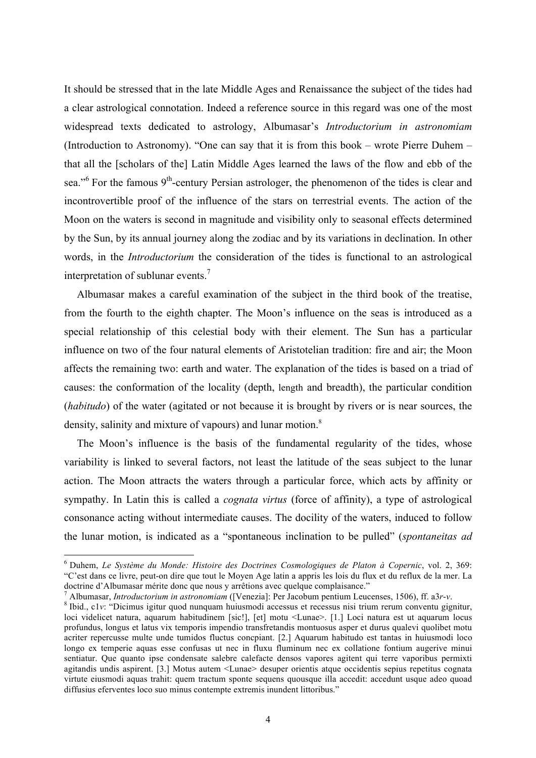It should be stressed that in the late Middle Ages and Renaissance the subject of the tides had a clear astrological connotation. Indeed a reference source in this regard was one of the most widespread texts dedicated to astrology, Albumasar's *Introductorium in astronomiam* (Introduction to Astronomy). "One can say that it is from this book – wrote Pierre Duhem – that all the [scholars of the] Latin Middle Ages learned the laws of the flow and ebb of the sea."<sup>6</sup> For the famous 9<sup>th</sup>-century Persian astrologer, the phenomenon of the tides is clear and incontrovertible proof of the influence of the stars on terrestrial events. The action of the Moon on the waters is second in magnitude and visibility only to seasonal effects determined by the Sun, by its annual journey along the zodiac and by its variations in declination. In other words, in the *Introductorium* the consideration of the tides is functional to an astrological interpretation of sublunar events.<sup>7</sup>

Albumasar makes a careful examination of the subject in the third book of the treatise, from the fourth to the eighth chapter. The Moon's influence on the seas is introduced as a special relationship of this celestial body with their element. The Sun has a particular influence on two of the four natural elements of Aristotelian tradition: fire and air; the Moon affects the remaining two: earth and water. The explanation of the tides is based on a triad of causes: the conformation of the locality (depth, length and breadth), the particular condition (*habitudo*) of the water (agitated or not because it is brought by rivers or is near sources, the density, salinity and mixture of vapours) and lunar motion.<sup>8</sup>

The Moon's influence is the basis of the fundamental regularity of the tides, whose variability is linked to several factors, not least the latitude of the seas subject to the lunar action. The Moon attracts the waters through a particular force, which acts by affinity or sympathy. In Latin this is called a *cognata virtus* (force of affinity), a type of astrological consonance acting without intermediate causes. The docility of the waters, induced to follow the lunar motion, is indicated as a "spontaneous inclination to be pulled" (*spontaneitas ad* 

 <sup>6</sup> Duhem, *Le Système du Monde: Histoire des Doctrines Cosmologiques de Platon à Copernic*, vol. 2, 369: "C'est dans ce livre, peut-on dire que tout le Moyen Age latin a appris les lois du flux et du reflux de la mer. La doctrine d'Albumasar mérite donc que nous y arrêtions avec quelque complaisance."<br>7 Albumasar, *Introductorium in astronomiam* ([Venezia]: Per Jacobum pentium Leucenses, 1506), ff. a3r-v.<br><sup>8</sup> Ibid., c1v: "Dicimus igitur qu

loci videlicet natura, aquarum habitudinem [sic!], [et] motu <Lunae>. [1.] Loci natura est ut aquarum locus profundus, longus et latus vix temporis impendio transfretandis montuosus asper et durus qualevi quolibet motu acriter repercusse multe unde tumidos fluctus concpiant. [2.] Aquarum habitudo est tantas in huiusmodi loco longo ex temperie aquas esse confusas ut nec in fluxu fluminum nec ex collatione fontium augerive minui sentiatur. Que quanto ipse condensate salebre calefacte densos vapores agitent qui terre vaporibus permixti agitandis undis aspirent. [3.] Motus autem <Lunae> desuper orientis atque occidentis sepius repetitus cognata virtute eiusmodi aquas trahit: quem tractum sponte sequens quousque illa accedit: accedunt usque adeo quoad diffusius eferventes loco suo minus contempte extremis inundent littoribus."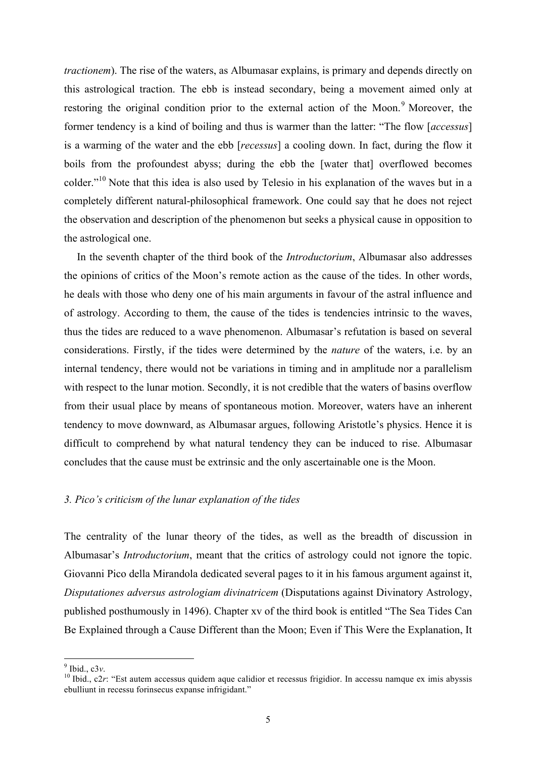*tractionem*). The rise of the waters, as Albumasar explains, is primary and depends directly on this astrological traction. The ebb is instead secondary, being a movement aimed only at restoring the original condition prior to the external action of the Moon.<sup>9</sup> Moreover, the former tendency is a kind of boiling and thus is warmer than the latter: "The flow [*accessus*] is a warming of the water and the ebb [*recessus*] a cooling down. In fact, during the flow it boils from the profoundest abyss; during the ebb the [water that] overflowed becomes colder."<sup>10</sup> Note that this idea is also used by Telesio in his explanation of the waves but in a completely different natural-philosophical framework. One could say that he does not reject the observation and description of the phenomenon but seeks a physical cause in opposition to the astrological one.

In the seventh chapter of the third book of the *Introductorium*, Albumasar also addresses the opinions of critics of the Moon's remote action as the cause of the tides. In other words, he deals with those who deny one of his main arguments in favour of the astral influence and of astrology. According to them, the cause of the tides is tendencies intrinsic to the waves, thus the tides are reduced to a wave phenomenon. Albumasar's refutation is based on several considerations. Firstly, if the tides were determined by the *nature* of the waters, i.e. by an internal tendency, there would not be variations in timing and in amplitude nor a parallelism with respect to the lunar motion. Secondly, it is not credible that the waters of basins overflow from their usual place by means of spontaneous motion. Moreover, waters have an inherent tendency to move downward, as Albumasar argues, following Aristotle's physics. Hence it is difficult to comprehend by what natural tendency they can be induced to rise. Albumasar concludes that the cause must be extrinsic and the only ascertainable one is the Moon.

# *3. Pico's criticism of the lunar explanation of the tides*

The centrality of the lunar theory of the tides, as well as the breadth of discussion in Albumasar's *Introductorium*, meant that the critics of astrology could not ignore the topic. Giovanni Pico della Mirandola dedicated several pages to it in his famous argument against it, *Disputationes adversus astrologiam divinatricem* (Disputations against Divinatory Astrology, published posthumously in 1496). Chapter xv of the third book is entitled "The Sea Tides Can Be Explained through a Cause Different than the Moon; Even if This Were the Explanation, It

<sup>&</sup>lt;sup>9</sup> Ibid., c3*v*.<br><sup>10</sup> Ibid., c2*r*: "Est autem accessus quidem aque calidior et recessus frigidior. In accessu namque ex imis abyssis ebulliunt in recessu forinsecus expanse infrigidant."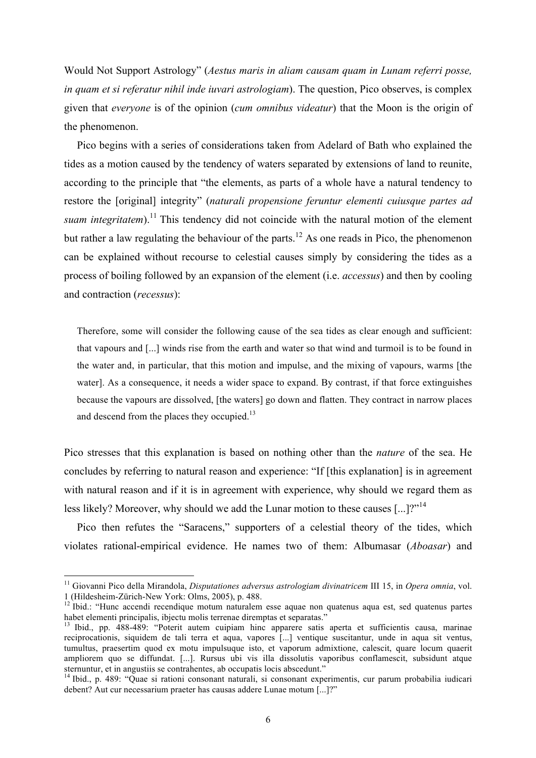Would Not Support Astrology" (*Aestus maris in aliam causam quam in Lunam referri posse, in quam et si referatur nihil inde iuvari astrologiam*). The question, Pico observes, is complex given that *everyone* is of the opinion (*cum omnibus videatur*) that the Moon is the origin of the phenomenon.

Pico begins with a series of considerations taken from Adelard of Bath who explained the tides as a motion caused by the tendency of waters separated by extensions of land to reunite, according to the principle that "the elements, as parts of a whole have a natural tendency to restore the [original] integrity" (*naturali propensione feruntur elementi cuiusque partes ad*  suam integritatem).<sup>11</sup> This tendency did not coincide with the natural motion of the element but rather a law regulating the behaviour of the parts.<sup>12</sup> As one reads in Pico, the phenomenon can be explained without recourse to celestial causes simply by considering the tides as a process of boiling followed by an expansion of the element (i.e. *accessus*) and then by cooling and contraction (*recessus*):

Therefore, some will consider the following cause of the sea tides as clear enough and sufficient: that vapours and [...] winds rise from the earth and water so that wind and turmoil is to be found in the water and, in particular, that this motion and impulse, and the mixing of vapours, warms [the water]. As a consequence, it needs a wider space to expand. By contrast, if that force extinguishes because the vapours are dissolved, [the waters] go down and flatten. They contract in narrow places and descend from the places they occupied.<sup>13</sup>

Pico stresses that this explanation is based on nothing other than the *nature* of the sea. He concludes by referring to natural reason and experience: "If [this explanation] is in agreement with natural reason and if it is in agreement with experience, why should we regard them as less likely? Moreover, why should we add the Lunar motion to these causes [...]?"<sup>14</sup>

Pico then refutes the "Saracens," supporters of a celestial theory of the tides, which violates rational-empirical evidence. He names two of them: Albumasar (*Aboasar*) and

<sup>&</sup>lt;sup>11</sup> Giovanni Pico della Mirandola, *Disputationes adversus astrologiam divinatricem* III 15, in *Opera omnia*, vol.<br>1 (Hildesheim-Zürich-New York: Olms, 2005), p. 488.

<sup>&</sup>lt;sup>12</sup> Ibid.: "Hunc accendi recendique motum naturalem esse aquae non quatenus aqua est, sed quatenus partes habet elementi principalis, ibjectu molis terrenae diremptas et separatas."

<sup>13</sup> Ibid., pp. 488-489: "Poterit autem cuipiam hinc apparere satis aperta et sufficientis causa, marinae reciprocationis, siquidem de tali terra et aqua, vapores [...] ventique suscitantur, unde in aqua sit ventus, tumultus, praesertim quod ex motu impulsuque isto, et vaporum admixtione, calescit, quare locum quaerit ampliorem quo se diffundat. [...]. Rursus ubi vis illa dissolutis vaporibus conflamescit, subsidunt atque sternuntur, et in angustiis se contrahentes, ab occupatis locis abscedunt."

<sup>&</sup>lt;sup>14</sup> Ibid., p. 489: "Quae si rationi consonant naturali, si consonant experimentis, cur parum probabilia iudicari debent? Aut cur necessarium praeter has causas addere Lunae motum [...]?"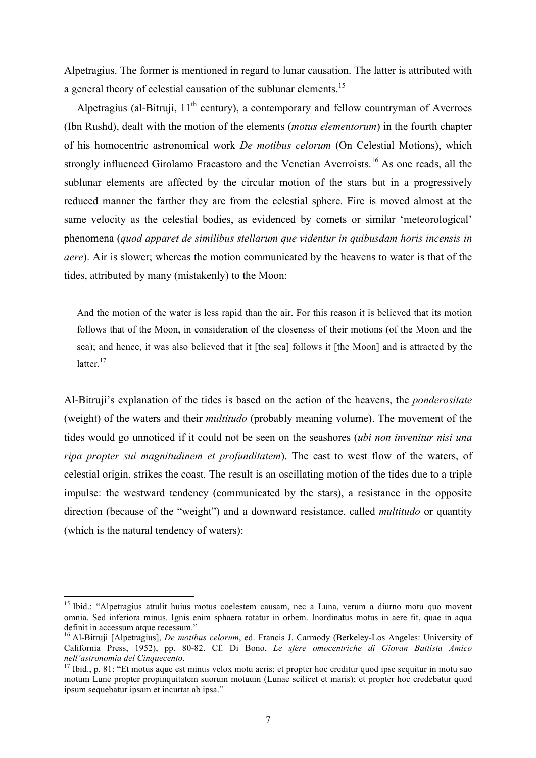Alpetragius. The former is mentioned in regard to lunar causation. The latter is attributed with a general theory of celestial causation of the sublunar elements.<sup>15</sup>

Alpetragius (al-Bitruji,  $11<sup>th</sup>$  century), a contemporary and fellow countryman of Averroes (Ibn Rushd), dealt with the motion of the elements (*motus elementorum*) in the fourth chapter of his homocentric astronomical work *De motibus celorum* (On Celestial Motions), which strongly influenced Girolamo Fracastoro and the Venetian Averroists.<sup>16</sup> As one reads, all the sublunar elements are affected by the circular motion of the stars but in a progressively reduced manner the farther they are from the celestial sphere. Fire is moved almost at the same velocity as the celestial bodies, as evidenced by comets or similar 'meteorological' phenomena (*quod apparet de similibus stellarum que videntur in quibusdam horis incensis in aere*). Air is slower; whereas the motion communicated by the heavens to water is that of the tides, attributed by many (mistakenly) to the Moon:

And the motion of the water is less rapid than the air. For this reason it is believed that its motion follows that of the Moon, in consideration of the closeness of their motions (of the Moon and the sea); and hence, it was also believed that it [the sea] follows it [the Moon] and is attracted by the latter. $17$ 

Al-Bitruji's explanation of the tides is based on the action of the heavens, the *ponderositate* (weight) of the waters and their *multitudo* (probably meaning volume). The movement of the tides would go unnoticed if it could not be seen on the seashores (*ubi non invenitur nisi una ripa propter sui magnitudinem et profunditatem*). The east to west flow of the waters, of celestial origin, strikes the coast. The result is an oscillating motion of the tides due to a triple impulse: the westward tendency (communicated by the stars), a resistance in the opposite direction (because of the "weight") and a downward resistance, called *multitudo* or quantity (which is the natural tendency of waters):

<sup>&</sup>lt;sup>15</sup> Ibid.: "Alpetragius attulit huius motus coelestem causam, nec a Luna, verum a diurno motu quo movent omnia. Sed inferiora minus. Ignis enim sphaera rotatur in orbem. Inordinatus motus in aere fit, quae in aqua definit in accessum atque recessum."

<sup>16</sup> Al-Bitruji [Alpetragius], *De motibus celorum*, ed. Francis J. Carmody (Berkeley-Los Angeles: University of California Press, 1952), pp. 80-82. Cf. Di Bono, *Le sfere omocentriche di Giovan Battista Amico nell'astronomia del Cinquecento*.<br><sup>17</sup> Ibid., p. 81: "Et motus aque est minus velox motu aeris; et propter hoc creditur quod ipse sequitur in motu suo

motum Lune propter propinquitatem suorum motuum (Lunae scilicet et maris); et propter hoc credebatur quod ipsum sequebatur ipsam et incurtat ab ipsa."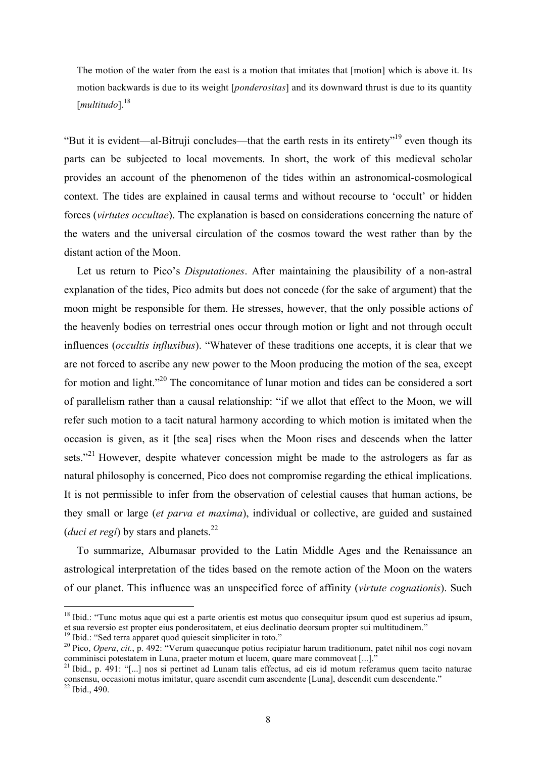The motion of the water from the east is a motion that imitates that [motion] which is above it. Its motion backwards is due to its weight [*ponderositas*] and its downward thrust is due to its quantity [*multitudo*].<sup>18</sup>

"But it is evident—al-Bitruji concludes—that the earth rests in its entirety"<sup>19</sup> even though its parts can be subjected to local movements. In short, the work of this medieval scholar provides an account of the phenomenon of the tides within an astronomical-cosmological context. The tides are explained in causal terms and without recourse to 'occult' or hidden forces (*virtutes occultae*). The explanation is based on considerations concerning the nature of the waters and the universal circulation of the cosmos toward the west rather than by the distant action of the Moon.

Let us return to Pico's *Disputationes*. After maintaining the plausibility of a non-astral explanation of the tides, Pico admits but does not concede (for the sake of argument) that the moon might be responsible for them. He stresses, however, that the only possible actions of the heavenly bodies on terrestrial ones occur through motion or light and not through occult influences (*occultis influxibus*). "Whatever of these traditions one accepts, it is clear that we are not forced to ascribe any new power to the Moon producing the motion of the sea, except for motion and light."<sup>20</sup> The concomitance of lunar motion and tides can be considered a sort of parallelism rather than a causal relationship: "if we allot that effect to the Moon, we will refer such motion to a tacit natural harmony according to which motion is imitated when the occasion is given, as it [the sea] rises when the Moon rises and descends when the latter sets."<sup>21</sup> However, despite whatever concession might be made to the astrologers as far as natural philosophy is concerned, Pico does not compromise regarding the ethical implications. It is not permissible to infer from the observation of celestial causes that human actions, be they small or large (*et parva et maxima*), individual or collective, are guided and sustained (*duci et regi*) by stars and planets. 22

To summarize, Albumasar provided to the Latin Middle Ages and the Renaissance an astrological interpretation of the tides based on the remote action of the Moon on the waters of our planet. This influence was an unspecified force of affinity (*virtute cognationis*). Such

<sup>&</sup>lt;sup>18</sup> Ibid.: "Tunc motus aque qui est a parte orientis est motus quo consequitur ipsum quod est superius ad ipsum, et sua reversio est propter eius ponderositatem, et eius declinatio deorsum propter sui multitudinem."<br><sup>19</sup> Ibid.: "Sed terra apparet quod quiescit simpliciter in toto."

<sup>&</sup>lt;sup>20</sup> Pico, *Opera*, *cit.*, p. 492: "Verum quaecunque potius recipiatur harum traditionum, patet nihil nos cogi novam comminisci potestatem in Luna, praeter motum et lucem, quare mare commoveat [...]."

<sup>&</sup>lt;sup>21</sup> Ibid., p. 491: "[...] nos si pertinet ad Lunam talis effectus, ad eis id motum referamus quem tacito naturae consensu, occasioni motus imitatur, quare ascendit cum ascendente [Luna], descendit cum descendente."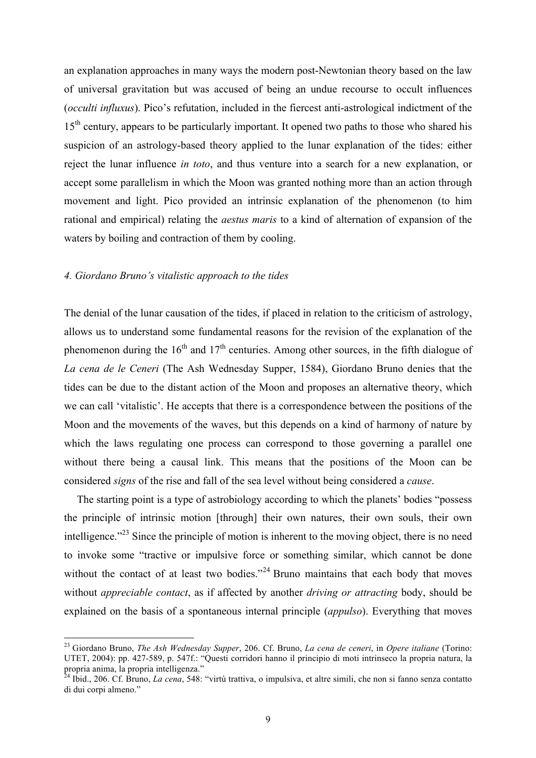an explanation approaches in many ways the modern post-Newtonian theory based on the law of universal gravitation but was accused of being an undue recourse to occult influences (*occulti influxus*). Pico's refutation, included in the fiercest anti-astrological indictment of the 15<sup>th</sup> century, appears to be particularly important. It opened two paths to those who shared his suspicion of an astrology-based theory applied to the lunar explanation of the tides: either reject the lunar influence *in toto*, and thus venture into a search for a new explanation, or accept some parallelism in which the Moon was granted nothing more than an action through movement and light. Pico provided an intrinsic explanation of the phenomenon (to him rational and empirical) relating the *aestus maris* to a kind of alternation of expansion of the waters by boiling and contraction of them by cooling.

#### *4. Giordano Bruno's vitalistic approach to the tides*

The denial of the lunar causation of the tides, if placed in relation to the criticism of astrology, allows us to understand some fundamental reasons for the revision of the explanation of the phenomenon during the  $16<sup>th</sup>$  and  $17<sup>th</sup>$  centuries. Among other sources, in the fifth dialogue of *La cena de le Ceneri* (The Ash Wednesday Supper, 1584), Giordano Bruno denies that the tides can be due to the distant action of the Moon and proposes an alternative theory, which we can call 'vitalistic'. He accepts that there is a correspondence between the positions of the Moon and the movements of the waves, but this depends on a kind of harmony of nature by which the laws regulating one process can correspond to those governing a parallel one without there being a causal link. This means that the positions of the Moon can be considered *signs* of the rise and fall of the sea level without being considered a *cause*.

The starting point is a type of astrobiology according to which the planets' bodies "possess the principle of intrinsic motion [through] their own natures, their own souls, their own intelligence."<sup>23</sup> Since the principle of motion is inherent to the moving object, there is no need to invoke some "tractive or impulsive force or something similar, which cannot be done without the contact of at least two bodies."<sup>24</sup> Bruno maintains that each body that moves without *appreciable contact*, as if affected by another *driving or attracting* body, should be explained on the basis of a spontaneous internal principle (*appulso*). Everything that moves

 <sup>23</sup> Giordano Bruno, *The Ash Wednesday Supper*, 206. Cf. Bruno, *La cena de ceneri*, in *Opere italiane* (Torino: UTET, 2004): pp. 427-589, p. 547f.: "Questi corridori hanno il principio di moti intrinseco la propria natura, la propria anima, la propria intelligenza."

<sup>&</sup>lt;sup>24</sup> Ibid., 206. Cf. Bruno, *La cena*, 548: "virtù trattiva, o impulsiva, et altre simili, che non si fanno senza contatto di dui corpi almeno."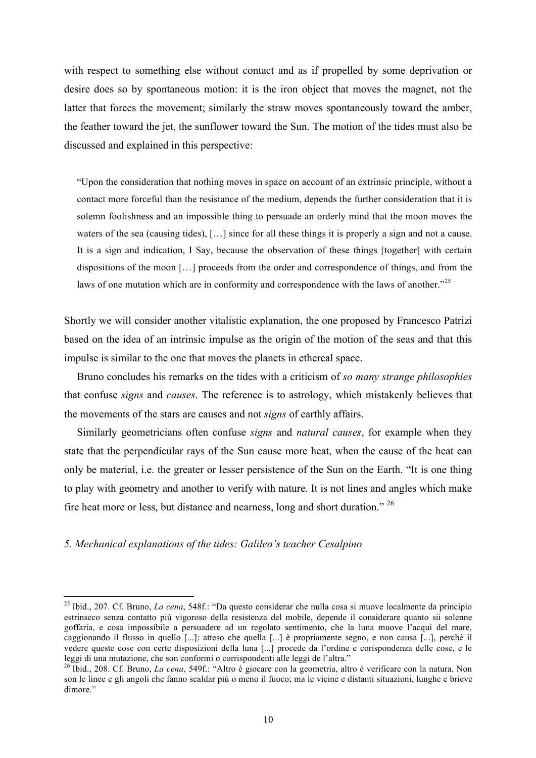with respect to something else without contact and as if propelled by some deprivation or desire does so by spontaneous motion: it is the iron object that moves the magnet, not the latter that forces the movement; similarly the straw moves spontaneously toward the amber, the feather toward the jet, the sunflower toward the Sun. The motion of the tides must also be discussed and explained in this perspective:

"Upon the consideration that nothing moves in space on account of an extrinsic principle, without a contact more forceful than the resistance of the medium, depends the further consideration that it is solemn foolishness and an impossible thing to persuade an orderly mind that the moon moves the waters of the sea (causing tides), [...] since for all these things it is properly a sign and not a cause. It is a sign and indication, I Say, because the observation of these things [together] with certain dispositions of the moon […] proceeds from the order and correspondence of things, and from the laws of one mutation which are in conformity and correspondence with the laws of another."<sup>25</sup>

Shortly we will consider another vitalistic explanation, the one proposed by Francesco Patrizi based on the idea of an intrinsic impulse as the origin of the motion of the seas and that this impulse is similar to the one that moves the planets in ethereal space.

Bruno concludes his remarks on the tides with a criticism of *so many strange philosophies* that confuse *signs* and *causes*. The reference is to astrology, which mistakenly believes that the movements of the stars are causes and not *signs* of earthly affairs.

Similarly geometricians often confuse *signs* and *natural causes*, for example when they state that the perpendicular rays of the Sun cause more heat, when the cause of the heat can only be material, i.e. the greater or lesser persistence of the Sun on the Earth. "It is one thing to play with geometry and another to verify with nature. It is not lines and angles which make fire heat more or less, but distance and nearness, long and short duration."<sup>26</sup>

#### *5. Mechanical explanations of the tides: Galileo's teacher Cesalpino*

 <sup>25</sup> Ibid., 207. Cf. Bruno, *La cena*, 548f.: "Da questo considerar che nulla cosa si muove localmente da principio estrinseco senza contatto più vigoroso della resistenza del mobile, depende il considerare quanto sii solenne goffaria, e cosa impossibile a persuadere ad un regolato sentimento, che la luna muove l'acqui del mare, caggionando il flusso in quello [...]: atteso che quella [...] è propriamente segno, e non causa [...], perché il vedere queste cose con certe disposizioni della luna [...] procede da l'ordine e corispondenza delle cose, e le leggi di una mutazione, che son conformi o corrispondenti alle leggi de l'altra."

<sup>26</sup> Ibid., 208. Cf. Bruno, *La cena*, 549f.: "Altro è giocare con la geometria, altro è verificare con la natura. Non son le linee e gli angoli che fanno scaldar più o meno il fuoco; ma le vicine e distanti situazioni, lunghe e brieve dimore."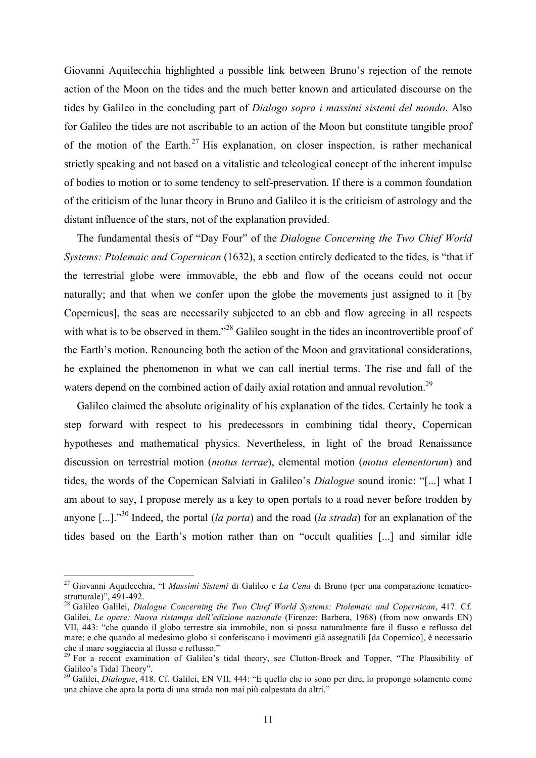Giovanni Aquilecchia highlighted a possible link between Bruno's rejection of the remote action of the Moon on the tides and the much better known and articulated discourse on the tides by Galileo in the concluding part of *Dialogo sopra i massimi sistemi del mondo*. Also for Galileo the tides are not ascribable to an action of the Moon but constitute tangible proof of the motion of the Earth. <sup>27</sup> His explanation, on closer inspection, is rather mechanical strictly speaking and not based on a vitalistic and teleological concept of the inherent impulse of bodies to motion or to some tendency to self-preservation. If there is a common foundation of the criticism of the lunar theory in Bruno and Galileo it is the criticism of astrology and the distant influence of the stars, not of the explanation provided.

The fundamental thesis of "Day Four" of the *Dialogue Concerning the Two Chief World Systems: Ptolemaic and Copernican* (1632), a section entirely dedicated to the tides, is "that if the terrestrial globe were immovable, the ebb and flow of the oceans could not occur naturally; and that when we confer upon the globe the movements just assigned to it [by Copernicus], the seas are necessarily subjected to an ebb and flow agreeing in all respects with what is to be observed in them."<sup>28</sup> Galileo sought in the tides an incontrovertible proof of the Earth's motion. Renouncing both the action of the Moon and gravitational considerations, he explained the phenomenon in what we can call inertial terms. The rise and fall of the waters depend on the combined action of daily axial rotation and annual revolution.<sup>29</sup>

Galileo claimed the absolute originality of his explanation of the tides. Certainly he took a step forward with respect to his predecessors in combining tidal theory, Copernican hypotheses and mathematical physics. Nevertheless, in light of the broad Renaissance discussion on terrestrial motion (*motus terrae*), elemental motion (*motus elementorum*) and tides, the words of the Copernican Salviati in Galileo's *Dialogue* sound ironic: "[...] what I am about to say, I propose merely as a key to open portals to a road never before trodden by anyone [...]."<sup>30</sup> Indeed, the portal (*la porta*) and the road (*la strada*) for an explanation of the tides based on the Earth's motion rather than on "occult qualities [...] and similar idle

<sup>&</sup>lt;sup>27</sup> Giovanni Aquilecchia, "I *Massimi Sistemi* di Galileo e *La Cena* di Bruno (per una comparazione tematico-strutturale)", 491-492.

<sup>&</sup>lt;sup>28</sup> Galileo Galilei. *Dialogue Concerning the Two Chief World Systems: Ptolemaic and Copernican*, 417. Cf. Galilei, *Le opere: Nuova ristampa dell'edizione nazionale* (Firenze: Barbera, 1968) (from now onwards EN) VII, 443: "che quando il globo terrestre sia immobile, non si possa naturalmente fare il flusso e reflusso del mare; e che quando al medesimo globo si conferiscano i movimenti già assegnatili [da Copernico], è necessario

<sup>&</sup>lt;sup>29</sup> For a recent examination of Galileo's tidal theory, see Clutton-Brock and Topper, "The Plausibility of Galileo's Tidal Theory".

<sup>&</sup>lt;sup>30</sup> Galilei, *Dialogue*, 418. Cf. Galilei, EN VII, 444: "E quello che io sono per dire, lo propongo solamente come una chiave che apra la porta di una strada non mai più calpestata da altri."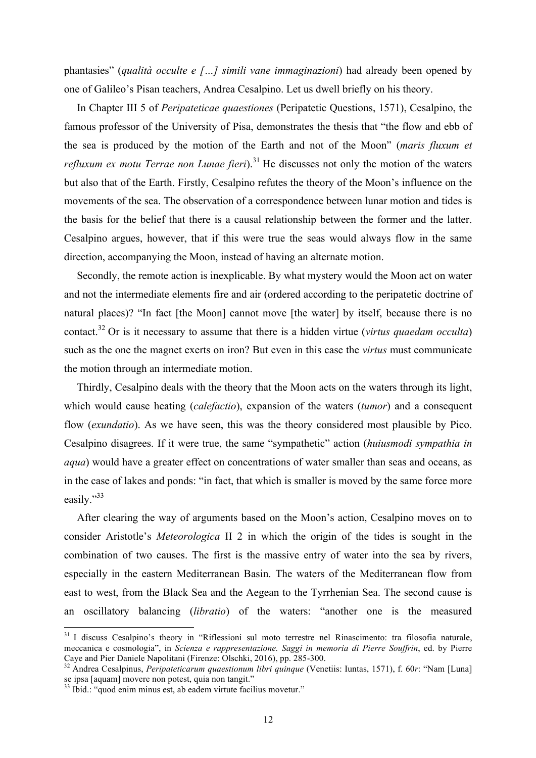phantasies" (*qualità occulte e […] simili vane immaginazioni*) had already been opened by one of Galileo's Pisan teachers, Andrea Cesalpino. Let us dwell briefly on his theory.

In Chapter III 5 of *Peripateticae quaestiones* (Peripatetic Questions, 1571), Cesalpino, the famous professor of the University of Pisa, demonstrates the thesis that "the flow and ebb of the sea is produced by the motion of the Earth and not of the Moon" (*maris fluxum et refluxum ex motu Terrae non Lunae fieri*).<sup>31</sup> He discusses not only the motion of the waters but also that of the Earth. Firstly, Cesalpino refutes the theory of the Moon's influence on the movements of the sea. The observation of a correspondence between lunar motion and tides is the basis for the belief that there is a causal relationship between the former and the latter. Cesalpino argues, however, that if this were true the seas would always flow in the same direction, accompanying the Moon, instead of having an alternate motion.

Secondly, the remote action is inexplicable. By what mystery would the Moon act on water and not the intermediate elements fire and air (ordered according to the peripatetic doctrine of natural places)? "In fact [the Moon] cannot move [the water] by itself, because there is no contact.<sup>32</sup> Or is it necessary to assume that there is a hidden virtue (*virtus quaedam occulta*) such as the one the magnet exerts on iron? But even in this case the *virtus* must communicate the motion through an intermediate motion.

Thirdly, Cesalpino deals with the theory that the Moon acts on the waters through its light, which would cause heating (*calefactio*), expansion of the waters (*tumor*) and a consequent flow (*exundatio*). As we have seen, this was the theory considered most plausible by Pico. Cesalpino disagrees. If it were true, the same "sympathetic" action (*huiusmodi sympathia in aqua*) would have a greater effect on concentrations of water smaller than seas and oceans, as in the case of lakes and ponds: "in fact, that which is smaller is moved by the same force more easily."33

After clearing the way of arguments based on the Moon's action, Cesalpino moves on to consider Aristotle's *Meteorologica* II 2 in which the origin of the tides is sought in the combination of two causes. The first is the massive entry of water into the sea by rivers, especially in the eastern Mediterranean Basin. The waters of the Mediterranean flow from east to west, from the Black Sea and the Aegean to the Tyrrhenian Sea. The second cause is an oscillatory balancing (*libratio*) of the waters: "another one is the measured

<sup>&</sup>lt;sup>31</sup> I discuss Cesalpino's theory in "Riflessioni sul moto terrestre nel Rinascimento: tra filosofia naturale, meccanica e cosmologia", in *Scienza e rappresentazione. Saggi in memoria di Pierre Souffrin*, ed. by Pierre

<sup>&</sup>lt;sup>32</sup> Andrea Cesalpinus, *Peripateticarum quaestionum libri quinque* (Venetiis: Iuntas, 1571), f. 60*r*: "Nam [Luna] se ipsa [aquam] movere non potest, quia non tangit."<br><sup>33</sup> Ibid.: "quod enim minus est, ab eadem virtute facilius movetur."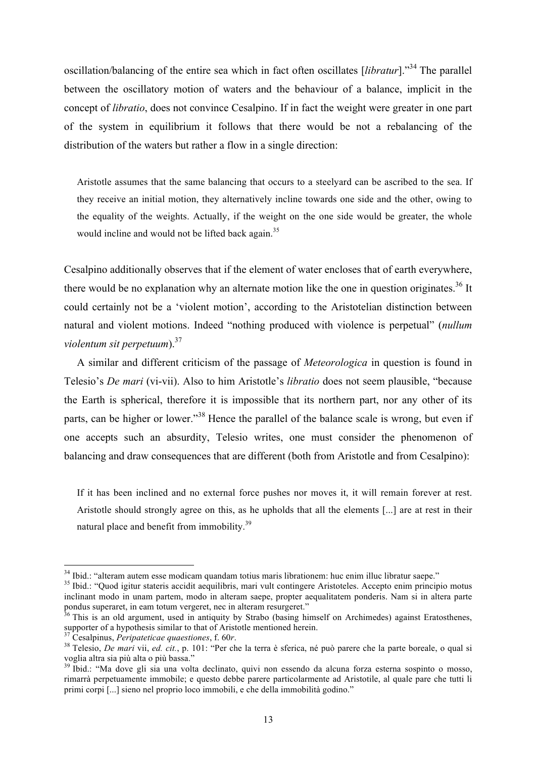oscillation/balancing of the entire sea which in fact often oscillates [*libratur*]."<sup>34</sup> The parallel between the oscillatory motion of waters and the behaviour of a balance, implicit in the concept of *libratio*, does not convince Cesalpino. If in fact the weight were greater in one part of the system in equilibrium it follows that there would be not a rebalancing of the distribution of the waters but rather a flow in a single direction:

Aristotle assumes that the same balancing that occurs to a steelyard can be ascribed to the sea. If they receive an initial motion, they alternatively incline towards one side and the other, owing to the equality of the weights. Actually, if the weight on the one side would be greater, the whole would incline and would not be lifted back again.<sup>35</sup>

Cesalpino additionally observes that if the element of water encloses that of earth everywhere, there would be no explanation why an alternate motion like the one in question originates.<sup>36</sup> It could certainly not be a 'violent motion', according to the Aristotelian distinction between natural and violent motions. Indeed "nothing produced with violence is perpetual" (*nullum violentum sit perpetuum*). 37

A similar and different criticism of the passage of *Meteorologica* in question is found in Telesio's *De mari* (vi-vii). Also to him Aristotle's *libratio* does not seem plausible, "because the Earth is spherical, therefore it is impossible that its northern part, nor any other of its parts, can be higher or lower."<sup>38</sup> Hence the parallel of the balance scale is wrong, but even if one accepts such an absurdity, Telesio writes, one must consider the phenomenon of balancing and draw consequences that are different (both from Aristotle and from Cesalpino):

If it has been inclined and no external force pushes nor moves it, it will remain forever at rest. Aristotle should strongly agree on this, as he upholds that all the elements [...] are at rest in their natural place and benefit from immobility.<sup>39</sup>

 $34$  Ibid.: "alteram autem esse modicam quandam totius maris librationem: huc enim illuc libratur saepe."  $35$  Ibid.: "Quod igitur stateris accidit aequilibris, mari vult contingere Aristoteles. Accepto enim principio mot

inclinant modo in unam partem, modo in alteram saepe, propter aequalitatem ponderis. Nam si in altera parte pondus superaret, in eam totum vergeret, nec in alteram resurgeret."

<sup>&</sup>lt;sup>36</sup> This is an old argument, used in antiquity by Strabo (basing himself on Archimedes) against Eratosthenes, supporter of a hypothesis similar to that of Aristotle mentioned herein.<br><sup>37</sup> Cesalpinus, *Peripateticae quaestiones*, f. 60*r*.

<sup>37</sup> Cesalpinus, *Peripateticae quaestiones*, f. 60*r*. <sup>38</sup> Telesio, *De mari* vii, *ed. cit.*, p. 101: "Per che la terra è sferica, né può parere che la parte boreale, o qual si voglia altra sia più alta o più bassa."

<sup>39</sup> Ibid.: "Ma dove gli sia una volta declinato, quivi non essendo da alcuna forza esterna sospinto o mosso, rimarrà perpetuamente immobile; e questo debbe parere particolarmente ad Aristotile, al quale pare che tutti li primi corpi [...] sieno nel proprio loco immobili, e che della immobilità godino."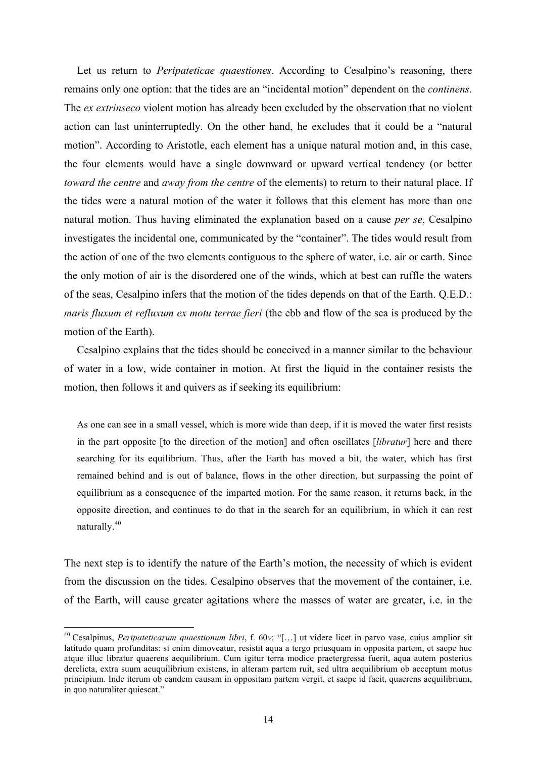Let us return to *Peripateticae quaestiones*. According to Cesalpino's reasoning, there remains only one option: that the tides are an "incidental motion" dependent on the *continens*. The *ex extrinseco* violent motion has already been excluded by the observation that no violent action can last uninterruptedly. On the other hand, he excludes that it could be a "natural motion". According to Aristotle, each element has a unique natural motion and, in this case, the four elements would have a single downward or upward vertical tendency (or better *toward the centre* and *away from the centre* of the elements) to return to their natural place. If the tides were a natural motion of the water it follows that this element has more than one natural motion. Thus having eliminated the explanation based on a cause *per se*, Cesalpino investigates the incidental one, communicated by the "container". The tides would result from the action of one of the two elements contiguous to the sphere of water, i.e. air or earth. Since the only motion of air is the disordered one of the winds, which at best can ruffle the waters of the seas, Cesalpino infers that the motion of the tides depends on that of the Earth. Q.E.D.: *maris fluxum et refluxum ex motu terrae fieri* (the ebb and flow of the sea is produced by the motion of the Earth).

Cesalpino explains that the tides should be conceived in a manner similar to the behaviour of water in a low, wide container in motion. At first the liquid in the container resists the motion, then follows it and quivers as if seeking its equilibrium:

As one can see in a small vessel, which is more wide than deep, if it is moved the water first resists in the part opposite [to the direction of the motion] and often oscillates [*libratur*] here and there searching for its equilibrium. Thus, after the Earth has moved a bit, the water, which has first remained behind and is out of balance, flows in the other direction, but surpassing the point of equilibrium as a consequence of the imparted motion. For the same reason, it returns back, in the opposite direction, and continues to do that in the search for an equilibrium, in which it can rest naturally.<sup>40</sup>

The next step is to identify the nature of the Earth's motion, the necessity of which is evident from the discussion on the tides. Cesalpino observes that the movement of the container, i.e. of the Earth, will cause greater agitations where the masses of water are greater, i.e. in the

 <sup>40</sup> Cesalpinus, *Peripateticarum quaestionum libri*, f. 60*v*: "[…] ut videre licet in parvo vase, cuius amplior sit latitudo quam profunditas: si enim dimoveatur, resistit aqua a tergo priusquam in opposita partem, et saepe huc atque illuc libratur quaerens aequilibrium. Cum igitur terra modice praetergressa fuerit, aqua autem posterius derelicta, extra suum aeuquilibrium existens, in alteram partem ruit, sed ultra aequilibrium ob acceptum motus principium. Inde iterum ob eandem causam in oppositam partem vergit, et saepe id facit, quaerens aequilibrium, in quo naturaliter quiescat."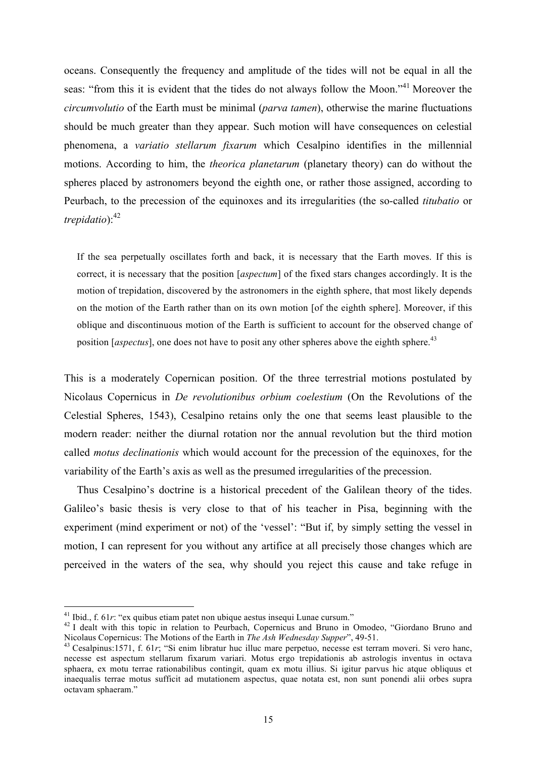oceans. Consequently the frequency and amplitude of the tides will not be equal in all the seas: "from this it is evident that the tides do not always follow the Moon."<sup>41</sup> Moreover the *circumvolutio* of the Earth must be minimal (*parva tamen*), otherwise the marine fluctuations should be much greater than they appear. Such motion will have consequences on celestial phenomena, a *variatio stellarum fixarum* which Cesalpino identifies in the millennial motions. According to him, the *theorica planetarum* (planetary theory) can do without the spheres placed by astronomers beyond the eighth one, or rather those assigned, according to Peurbach, to the precession of the equinoxes and its irregularities (the so-called *titubatio* or *trepidatio*):<sup>42</sup>

If the sea perpetually oscillates forth and back, it is necessary that the Earth moves. If this is correct, it is necessary that the position [*aspectum*] of the fixed stars changes accordingly. It is the motion of trepidation, discovered by the astronomers in the eighth sphere, that most likely depends on the motion of the Earth rather than on its own motion [of the eighth sphere]. Moreover, if this oblique and discontinuous motion of the Earth is sufficient to account for the observed change of position [*aspectus*], one does not have to posit any other spheres above the eighth sphere.<sup>43</sup>

This is a moderately Copernican position. Of the three terrestrial motions postulated by Nicolaus Copernicus in *De revolutionibus orbium coelestium* (On the Revolutions of the Celestial Spheres, 1543), Cesalpino retains only the one that seems least plausible to the modern reader: neither the diurnal rotation nor the annual revolution but the third motion called *motus declinationis* which would account for the precession of the equinoxes, for the variability of the Earth's axis as well as the presumed irregularities of the precession.

Thus Cesalpino's doctrine is a historical precedent of the Galilean theory of the tides. Galileo's basic thesis is very close to that of his teacher in Pisa, beginning with the experiment (mind experiment or not) of the 'vessel': "But if, by simply setting the vessel in motion, I can represent for you without any artifice at all precisely those changes which are perceived in the waters of the sea, why should you reject this cause and take refuge in

<sup>&</sup>lt;sup>41</sup> Ibid., f. 61*r*: "ex quibus etiam patet non ubique aestus insequi Lunae cursum."<br><sup>42</sup> I dealt with this topic in relation to Peurbach, Copernicus and Bruno in Omodeo, "Giordano Bruno and<br>Nicolaus Copernicus: The Moti

<sup>&</sup>lt;sup>43</sup> Cesalpinus: 1571, f. 61*r*; "Si enim libratur huc illuc mare perpetuo, necesse est terram moveri. Si vero hanc, necesse est aspectum stellarum fixarum variari. Motus ergo trepidationis ab astrologis inventus in octava sphaera, ex motu terrae rationabilibus contingit, quam ex motu illius. Si igitur parvus hic atque obliquus et inaequalis terrae motus sufficit ad mutationem aspectus, quae notata est, non sunt ponendi alii orbes supra octavam sphaeram."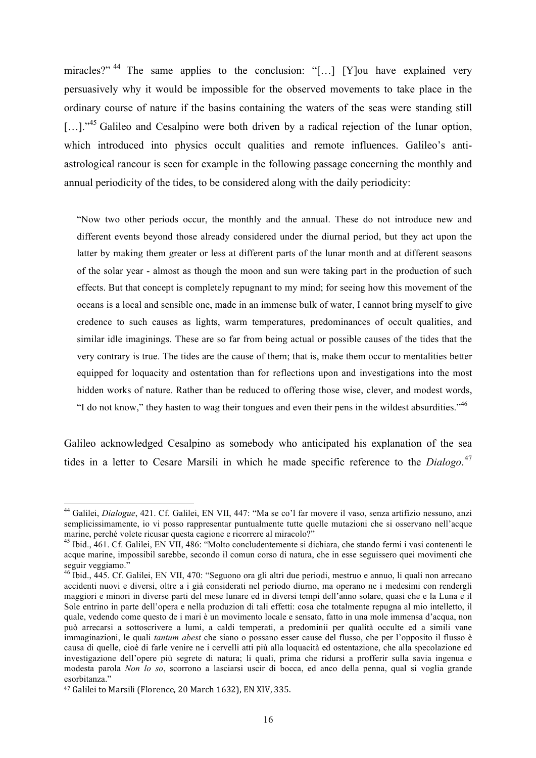miracles?"<sup>44</sup> The same applies to the conclusion: "[...] [Y]ou have explained very persuasively why it would be impossible for the observed movements to take place in the ordinary course of nature if the basins containing the waters of the seas were standing still [...]."<sup>45</sup> Galileo and Cesalpino were both driven by a radical rejection of the lunar option, which introduced into physics occult qualities and remote influences. Galileo's antiastrological rancour is seen for example in the following passage concerning the monthly and annual periodicity of the tides, to be considered along with the daily periodicity:

"Now two other periods occur, the monthly and the annual. These do not introduce new and different events beyond those already considered under the diurnal period, but they act upon the latter by making them greater or less at different parts of the lunar month and at different seasons of the solar year - almost as though the moon and sun were taking part in the production of such effects. But that concept is completely repugnant to my mind; for seeing how this movement of the oceans is a local and sensible one, made in an immense bulk of water, I cannot bring myself to give credence to such causes as lights, warm temperatures, predominances of occult qualities, and similar idle imaginings. These are so far from being actual or possible causes of the tides that the very contrary is true. The tides are the cause of them; that is, make them occur to mentalities better equipped for loquacity and ostentation than for reflections upon and investigations into the most hidden works of nature. Rather than be reduced to offering those wise, clever, and modest words, "I do not know," they hasten to wag their tongues and even their pens in the wildest absurdities."<sup>46</sup>

Galileo acknowledged Cesalpino as somebody who anticipated his explanation of the sea tides in a letter to Cesare Marsili in which he made specific reference to the *Dialogo*. 47

 <sup>44</sup> Galilei, *Dialogue*, 421. Cf. Galilei, EN VII, 447: "Ma se co'l far movere il vaso, senza artifizio nessuno, anzi semplicissimamente, io vi posso rappresentar puntualmente tutte quelle mutazioni che si osservano nell'acque marine, perché volete ricusar questa cagione e ricorrere al miracolo?"

<sup>&</sup>lt;sup>45</sup> Ibid., 461. Cf. Galilei, EN VII, 486: "Molto concludentemente si dichiara, che stando fermi i vasi contenenti le acque marine, impossibil sarebbe, secondo il comun corso di natura, che in esse seguissero quei movimenti che seguir veggiamo."

<sup>46</sup> Ibid., 445. Cf. Galilei, EN VII, 470: "Seguono ora gli altri due periodi, mestruo e annuo, li quali non arrecano accidenti nuovi e diversi, oltre a i già considerati nel periodo diurno, ma operano ne i medesimi con rendergli maggiori e minori in diverse parti del mese lunare ed in diversi tempi dell'anno solare, quasi che e la Luna e il Sole entrino in parte dell'opera e nella produzion di tali effetti: cosa che totalmente repugna al mio intelletto, il quale, vedendo come questo de i mari è un movimento locale e sensato, fatto in una mole immensa d'acqua, non può arrecarsi a sottoscrivere a lumi, a caldi temperati, a predominii per qualità occulte ed a simili vane immaginazioni, le quali *tantum abest* che siano o possano esser cause del flusso, che per l'opposito il flusso è causa di quelle, cioè di farle venire ne i cervelli atti più alla loquacità ed ostentazione, che alla specolazione ed investigazione dell'opere più segrete di natura; li quali, prima che ridursi a profferir sulla savia ingenua e modesta parola *Non lo so*, scorrono a lasciarsi uscir di bocca, ed anco della penna, qual si voglia grande esorbitanza."

<sup>&</sup>lt;sup>47</sup> Galilei to Marsili (Florence, 20 March 1632), EN XIV, 335.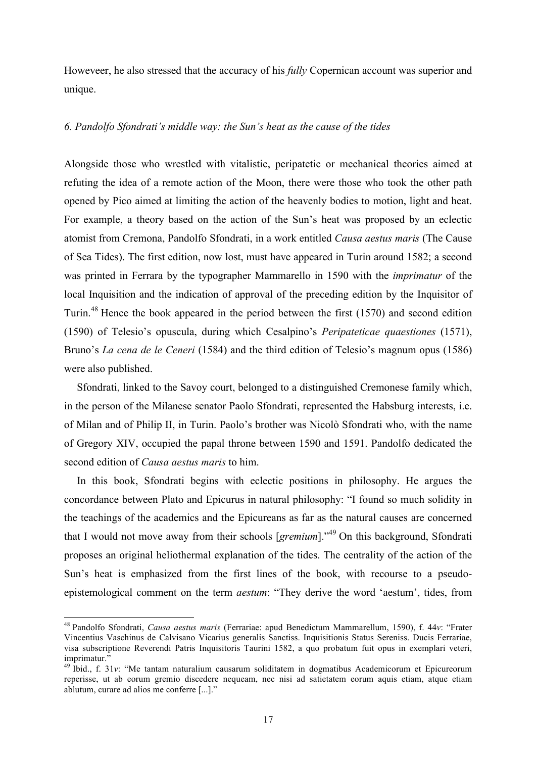Howeveer, he also stressed that the accuracy of his *fully* Copernican account was superior and unique.

# *6. Pandolfo Sfondrati's middle way: the Sun's heat as the cause of the tides*

Alongside those who wrestled with vitalistic, peripatetic or mechanical theories aimed at refuting the idea of a remote action of the Moon, there were those who took the other path opened by Pico aimed at limiting the action of the heavenly bodies to motion, light and heat. For example, a theory based on the action of the Sun's heat was proposed by an eclectic atomist from Cremona, Pandolfo Sfondrati, in a work entitled *Causa aestus maris* (The Cause of Sea Tides). The first edition, now lost, must have appeared in Turin around 1582; a second was printed in Ferrara by the typographer Mammarello in 1590 with the *imprimatur* of the local Inquisition and the indication of approval of the preceding edition by the Inquisitor of Turin.<sup>48</sup> Hence the book appeared in the period between the first (1570) and second edition (1590) of Telesio's opuscula, during which Cesalpino's *Peripateticae quaestiones* (1571), Bruno's *La cena de le Ceneri* (1584) and the third edition of Telesio's magnum opus (1586) were also published.

Sfondrati, linked to the Savoy court, belonged to a distinguished Cremonese family which, in the person of the Milanese senator Paolo Sfondrati, represented the Habsburg interests, i.e. of Milan and of Philip II, in Turin. Paolo's brother was Nicolò Sfondrati who, with the name of Gregory XIV, occupied the papal throne between 1590 and 1591. Pandolfo dedicated the second edition of *Causa aestus maris* to him.

In this book, Sfondrati begins with eclectic positions in philosophy. He argues the concordance between Plato and Epicurus in natural philosophy: "I found so much solidity in the teachings of the academics and the Epicureans as far as the natural causes are concerned that I would not move away from their schools [*gremium*]."<sup>49</sup> On this background, Sfondrati proposes an original heliothermal explanation of the tides. The centrality of the action of the Sun's heat is emphasized from the first lines of the book, with recourse to a pseudoepistemological comment on the term *aestum*: "They derive the word 'aestum', tides, from

 <sup>48</sup> Pandolfo Sfondrati, *Causa aestus maris* (Ferrariae: apud Benedictum Mammarellum, 1590), f. 44*v*: "Frater Vincentius Vaschinus de Calvisano Vicarius generalis Sanctiss. Inquisitionis Status Sereniss. Ducis Ferrariae, visa subscriptione Reverendi Patris Inquisitoris Taurini 1582, a quo probatum fuit opus in exemplari veteri, imprimatur."

<sup>49</sup> Ibid., f. 31*v*: "Me tantam naturalium causarum soliditatem in dogmatibus Academicorum et Epicureorum reperisse, ut ab eorum gremio discedere nequeam, nec nisi ad satietatem eorum aquis etiam, atque etiam ablutum, curare ad alios me conferre [...]."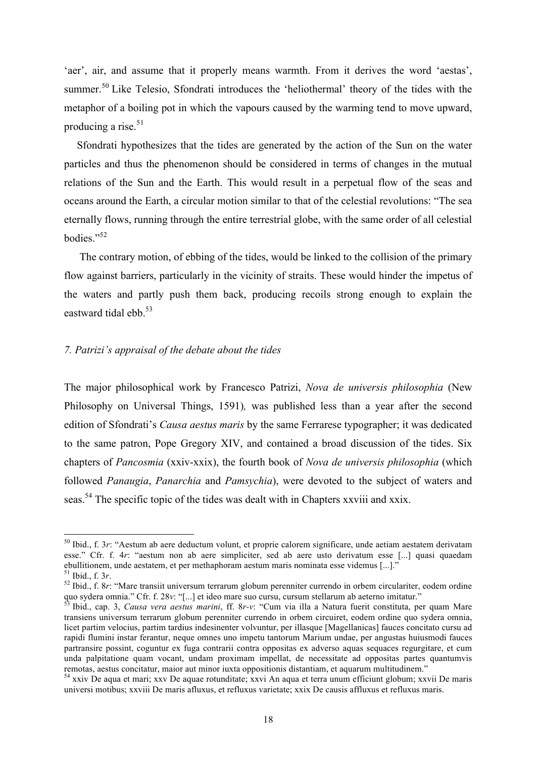'aer', air, and assume that it properly means warmth. From it derives the word 'aestas', summer.<sup>50</sup> Like Telesio, Sfondrati introduces the 'heliothermal' theory of the tides with the metaphor of a boiling pot in which the vapours caused by the warming tend to move upward, producing a rise. 51

Sfondrati hypothesizes that the tides are generated by the action of the Sun on the water particles and thus the phenomenon should be considered in terms of changes in the mutual relations of the Sun and the Earth. This would result in a perpetual flow of the seas and oceans around the Earth, a circular motion similar to that of the celestial revolutions: "The sea eternally flows, running through the entire terrestrial globe, with the same order of all celestial bodies."52

The contrary motion, of ebbing of the tides, would be linked to the collision of the primary flow against barriers, particularly in the vicinity of straits. These would hinder the impetus of the waters and partly push them back, producing recoils strong enough to explain the eastward tidal ebb. 53

## *7. Patrizi's appraisal of the debate about the tides*

The major philosophical work by Francesco Patrizi, *Nova de universis philosophia* (New Philosophy on Universal Things, 1591)*,* was published less than a year after the second edition of Sfondrati's *Causa aestus maris* by the same Ferrarese typographer; it was dedicated to the same patron, Pope Gregory XIV, and contained a broad discussion of the tides. Six chapters of *Pancosmia* (xxiv-xxix), the fourth book of *Nova de universis philosophia* (which followed *Panaugia*, *Panarchia* and *Pamsychia*), were devoted to the subject of waters and seas.<sup>54</sup> The specific topic of the tides was dealt with in Chapters xxviii and xxix.

 <sup>50</sup> Ibid., f. 3*r*: "Aestum ab aere deductum volunt, et proprie calorem significare, unde aetiam aestatem derivatam esse." Cfr. f. 4*r*: "aestum non ab aere simpliciter, sed ab aere usto derivatum esse [...] quasi quaedam ebullitionem, unde aestatem, et per methaphoram aestum maris nominata esse videmus [...]."<br>
<sup>51</sup> Ibid., f. 3*r*.<br>
<sup>52</sup> Ibid., f. 8*r*: "Mare transiit universum terrarum globum perenniter currendo in orbem circulariter, eo

quo sydera omnia." Cfr. f. 28v: "[...] et ideo mare suo cursu, cursum stellarum ab aeterno imitatur."<br><sup>53</sup> Ibid., cap. 3, *Causa vera aestus marini*, ff. 8r-v: "Cum via illa a Natura fuerit constituta, per quam Mare

transiens universum terrarum globum perenniter currendo in orbem circuiret, eodem ordine quo sydera omnia, licet partim velocius, partim tardius indesinenter volvuntur, per illasque [Magellanicas] fauces concitato cursu ad rapidi flumini instar ferantur, neque omnes uno impetu tantorum Marium undae, per angustas huiusmodi fauces partransire possint, coguntur ex fuga contrarii contra oppositas ex adverso aquas sequaces regurgitare, et cum unda palpitatione quam vocant, undam proximam impellat, de necessitate ad oppositas partes quantumvis remotas, aestus concitatur, maior aut minor iuxta oppositionis distantiam, et aquarum multitudinem."

<sup>&</sup>lt;sup>54</sup> xxiv De aqua et mari; xxv De aquae rotunditate; xxvi An aqua et terra unum efficiunt globum; xxvii De maris universi motibus; xxviii De maris afluxus, et refluxus varietate; xxix De causis affluxus et refluxus maris.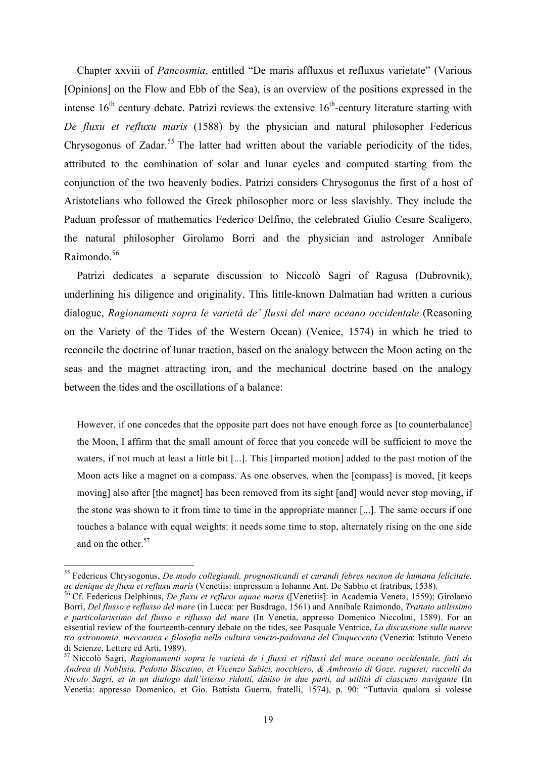Chapter xxviii of *Pancosmia*, entitled "De maris affluxus et refluxus varietate" (Various [Opinions] on the Flow and Ebb of the Sea), is an overview of the positions expressed in the intense  $16<sup>th</sup>$  century debate. Patrizi reviews the extensive  $16<sup>th</sup>$ -century literature starting with *De fluxu et refluxu maris* (1588) by the physician and natural philosopher Federicus Chrysogonus of Zadar.<sup>55</sup> The latter had written about the variable periodicity of the tides, attributed to the combination of solar and lunar cycles and computed starting from the conjunction of the two heavenly bodies. Patrizi considers Chrysogonus the first of a host of Aristotelians who followed the Greek philosopher more or less slavishly. They include the Paduan professor of mathematics Federico Delfino, the celebrated Giulio Cesare Scaligero, the natural philosopher Girolamo Borri and the physician and astrologer Annibale Raimondo. 56

Patrizi dedicates a separate discussion to Niccolò Sagri of Ragusa (Dubrovnik), underlining his diligence and originality. This little-known Dalmatian had written a curious dialogue, *Ragionamenti sopra le varietà de' flussi del mare oceano occidentale* (Reasoning on the Variety of the Tides of the Western Ocean) (Venice, 1574) in which he tried to reconcile the doctrine of lunar traction, based on the analogy between the Moon acting on the seas and the magnet attracting iron, and the mechanical doctrine based on the analogy between the tides and the oscillations of a balance:

However, if one concedes that the opposite part does not have enough force as [to counterbalance] the Moon, I affirm that the small amount of force that you concede will be sufficient to move the waters, if not much at least a little bit [...]. This [imparted motion] added to the past motion of the Moon acts like a magnet on a compass. As one observes, when the [compass] is moved, [it keeps moving] also after [the magnet] has been removed from its sight [and] would never stop moving, if the stone was shown to it from time to time in the appropriate manner [...]. The same occurs if one touches a balance with equal weights: it needs some time to stop, alternately rising on the one side and on the other. $57$ 

 <sup>55</sup> Federicus Chrysogonus, *De modo collegiandi, prognosticandi et curandi febres necnon de humana felicitate,*  ac denique de fluxu et refluxu maris (Venetiis: impressum a Iohanne Ant. De Sabbio et fratribus, 1538).<br><sup>56</sup> Cf. Federicus Delphinus. *De fluxu et refluxu aquae maris* ([Venetiis]: in Academia Veneta, 1559); Girolamo

Borri, *Del flusso e reflusso del mare* (in Lucca: per Busdrago, 1561) and Annibale Raimondo, *Trattato utilissimo e particolarissimo del flusso e riflusso del mare* (In Venetia, appresso Domenico Niccolini, 1589). For an essential review of the fourteenth-century debate on the tides, see Pasquale Ventrice, *La discussione sulle maree tra astronomia, meccanica e filosofia nella cultura veneto-padovana del Cinquecento* (Venezia: Istituto Veneto di Scienze, Lettere ed Arti, 1989).

<sup>57</sup> Niccolò Sagri, *Ragionamenti sopra le varietà de i flussi et riflussi del mare oceano occidentale, fatti da Andrea di Noblisia, Pedotto Biscaino, et Vicenzo Sabici, nocchiero, & Ambrosio di Goze, ragusei; raccolti da Nicolo Sagri, et in un dialogo dall'istesso ridotti, diuiso in due parti, ad utilità di ciascuno navigante* (In Venetia: appresso Domenico, et Gio. Battista Guerra, fratelli, 1574), p. 90: "Tuttavia qualora si volesse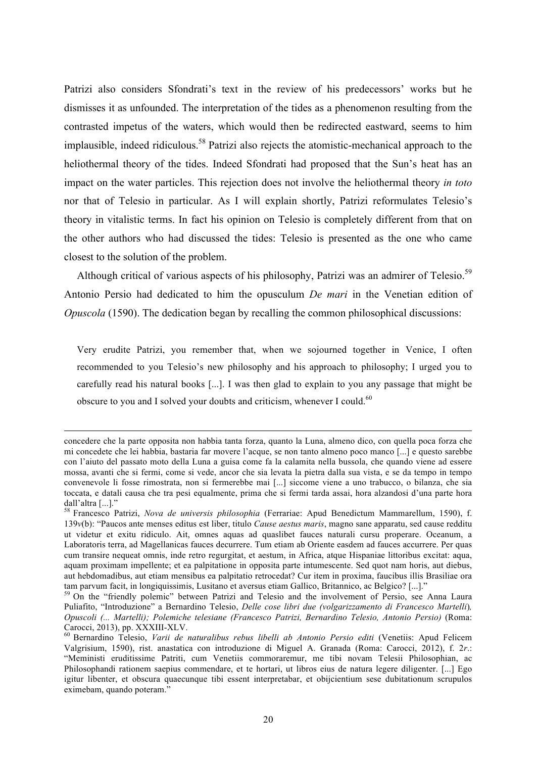Patrizi also considers Sfondrati's text in the review of his predecessors' works but he dismisses it as unfounded. The interpretation of the tides as a phenomenon resulting from the contrasted impetus of the waters, which would then be redirected eastward, seems to him implausible, indeed ridiculous. <sup>58</sup> Patrizi also rejects the atomistic-mechanical approach to the heliothermal theory of the tides. Indeed Sfondrati had proposed that the Sun's heat has an impact on the water particles. This rejection does not involve the heliothermal theory *in toto* nor that of Telesio in particular. As I will explain shortly, Patrizi reformulates Telesio's theory in vitalistic terms. In fact his opinion on Telesio is completely different from that on the other authors who had discussed the tides: Telesio is presented as the one who came closest to the solution of the problem.

Although critical of various aspects of his philosophy, Patrizi was an admirer of Telesio.<sup>59</sup> Antonio Persio had dedicated to him the opusculum *De mari* in the Venetian edition of *Opuscola* (1590). The dedication began by recalling the common philosophical discussions:

Very erudite Patrizi, you remember that, when we sojourned together in Venice, I often recommended to you Telesio's new philosophy and his approach to philosophy; I urged you to carefully read his natural books [...]. I was then glad to explain to you any passage that might be obscure to you and I solved your doubts and criticism, whenever I could.<sup>60</sup>

<u> 1989 - Andrea Santa Andrea Andrea Andrea Andrea Andrea Andrea Andrea Andrea Andrea Andrea Andrea Andrea Andr</u>

concedere che la parte opposita non habbia tanta forza, quanto la Luna, almeno dico, con quella poca forza che mi concedete che lei habbia, bastaria far movere l'acque, se non tanto almeno poco manco [...] e questo sarebbe con l'aiuto del passato moto della Luna a guisa come fa la calamita nella bussola, che quando viene ad essere mossa, avanti che si fermi, come si vede, ancor che sia levata la pietra dalla sua vista, e se da tempo in tempo convenevole li fosse rimostrata, non si fermerebbe mai [...] siccome viene a uno trabucco, o bilanza, che sia toccata, e datali causa che tra pesi equalmente, prima che si fermi tarda assai, hora alzandosi d'una parte hora dall'altra [...]."

<sup>58</sup> Francesco Patrizi, *Nova de universis philosophia* (Ferrariae: Apud Benedictum Mammarellum, 1590), f. 139*v*(b): "Paucos ante menses editus est liber, titulo *Cause aestus maris*, magno sane apparatu, sed cause redditu ut videtur et exitu ridiculo. Ait, omnes aquas ad quaslibet fauces naturali cursu properare. Oceanum, a Laboratoris terra, ad Magellanicas fauces decurrere. Tum etiam ab Oriente easdem ad fauces accurrere. Per quas cum transire nequeat omnis, inde retro regurgitat, et aestum, in Africa, atque Hispaniae littoribus excitat: aqua, aquam proximam impellente; et ea palpitatione in opposita parte intumescente. Sed quot nam horis, aut diebus, aut hebdomadibus, aut etiam mensibus ea palpitatio retrocedat? Cur item in proxima, faucibus illis Brasiliae ora tam parvum facit, in longiquissimis, Lusitano et aversus etiam Gallico, Britannico, ac Belgico? [...]."

<sup>&</sup>lt;sup>59</sup> On the "friendly polemic" between Patrizi and Telesio and the involvement of Persio, see Anna Laura Puliafito, "Introduzione" a Bernardino Telesio, *Delle cose libri due (volgarizzamento di Francesco Martelli*)*, Opuscoli (... Martelli); Polemiche telesiane (Francesco Patrizi, Bernardino Telesio, Antonio Persio)* (Roma: Carocci, 2013), pp. XXXIII-XLV.<br><sup>60</sup> Bernardino Telesio, *Varii de naturalibus rebus libelli ab Antonio Persio editi* (Venetiis: Apud Felicem

Valgrisium, 1590), rist. anastatica con introduzione di Miguel A. Granada (Roma: Carocci, 2012), f. 2*r*.: "Meministi eruditissime Patriti, cum Venetiis commoraremur, me tibi novam Telesii Philosophian, ac Philosophandi rationem saepius commendare, et te hortari, ut libros eius de natura legere diligenter. [...] Ego igitur libenter, et obscura quaecunque tibi essent interpretabar, et obijcientium sese dubitationum scrupulos eximebam, quando poteram."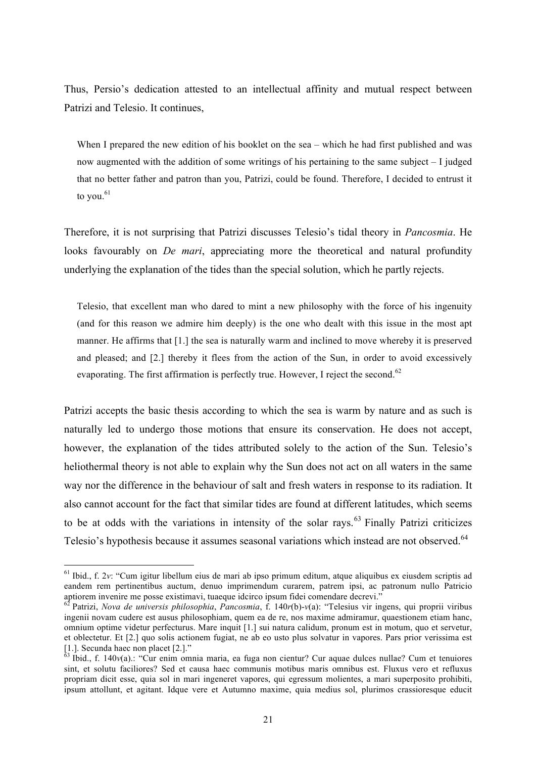Thus, Persio's dedication attested to an intellectual affinity and mutual respect between Patrizi and Telesio. It continues,

When I prepared the new edition of his booklet on the sea – which he had first published and was now augmented with the addition of some writings of his pertaining to the same subject – I judged that no better father and patron than you, Patrizi, could be found. Therefore, I decided to entrust it to you. $61$ 

Therefore, it is not surprising that Patrizi discusses Telesio's tidal theory in *Pancosmia*. He looks favourably on *De mari*, appreciating more the theoretical and natural profundity underlying the explanation of the tides than the special solution, which he partly rejects.

Telesio, that excellent man who dared to mint a new philosophy with the force of his ingenuity (and for this reason we admire him deeply) is the one who dealt with this issue in the most apt manner. He affirms that [1.] the sea is naturally warm and inclined to move whereby it is preserved and pleased; and [2.] thereby it flees from the action of the Sun, in order to avoid excessively evaporating. The first affirmation is perfectly true. However, I reject the second.<sup>62</sup>

Patrizi accepts the basic thesis according to which the sea is warm by nature and as such is naturally led to undergo those motions that ensure its conservation. He does not accept, however, the explanation of the tides attributed solely to the action of the Sun. Telesio's heliothermal theory is not able to explain why the Sun does not act on all waters in the same way nor the difference in the behaviour of salt and fresh waters in response to its radiation. It also cannot account for the fact that similar tides are found at different latitudes, which seems to be at odds with the variations in intensity of the solar rays. <sup>63</sup> Finally Patrizi criticizes Telesio's hypothesis because it assumes seasonal variations which instead are not observed.<sup>64</sup>

 <sup>61</sup> Ibid., f. 2*v*: "Cum igitur libellum eius de mari ab ipso primum editum, atque aliquibus ex eiusdem scriptis ad eandem rem pertinentibus auctum, denuo imprimendum curarem, patrem ipsi, ac patronum nullo Patricio aptiorem invenire me posse existimavi, tuaeque idcirco ipsum fidei comendare decrevi."

<sup>62</sup> Patrizi, *Nova de universis philosophia*, *Pancosmia*, f. 140*r*(b)-*v*(a): "Telesius vir ingens, qui proprii viribus ingenii novam cudere est ausus philosophiam, quem ea de re, nos maxime admiramur, quaestionem etiam hanc, omnium optime videtur perfecturus. Mare inquit [1.] sui natura calidum, pronum est in motum, quo et servetur, et oblectetur. Et [2.] quo solis actionem fugiat, ne ab eo usto plus solvatur in vapores. Pars prior verissima est [1.]. Secunda haec non placet [2.]."

<sup>63</sup> Ibid., f. 140*v*(a).: "Cur enim omnia maria, ea fuga non cientur? Cur aquae dulces nullae? Cum et tenuiores sint, et solutu faciliores? Sed et causa haec communis motibus maris omnibus est. Fluxus vero et refluxus propriam dicit esse, quia sol in mari ingeneret vapores, qui egressum molientes, a mari superposito prohibiti, ipsum attollunt, et agitant. Idque vere et Autumno maxime, quia medius sol, plurimos crassioresque educit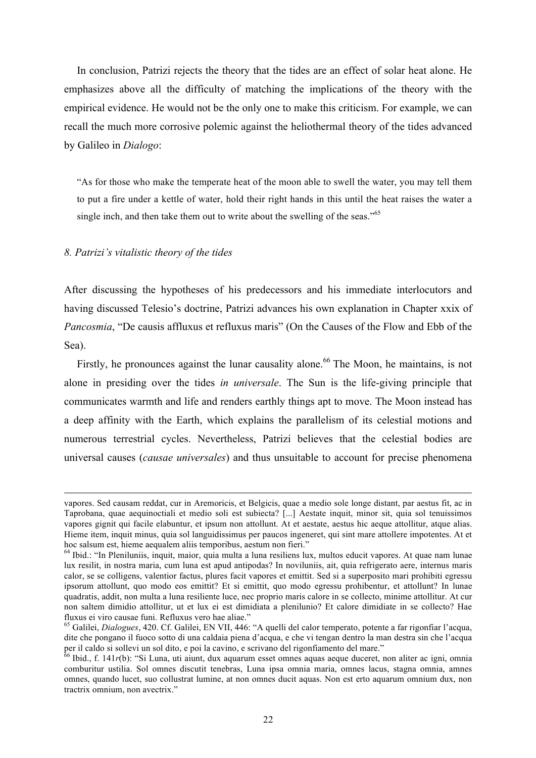In conclusion, Patrizi rejects the theory that the tides are an effect of solar heat alone. He emphasizes above all the difficulty of matching the implications of the theory with the empirical evidence. He would not be the only one to make this criticism. For example, we can recall the much more corrosive polemic against the heliothermal theory of the tides advanced by Galileo in *Dialogo*:

"As for those who make the temperate heat of the moon able to swell the water, you may tell them to put a fire under a kettle of water, hold their right hands in this until the heat raises the water a single inch, and then take them out to write about the swelling of the seas."<sup>65</sup>

#### *8. Patrizi's vitalistic theory of the tides*

After discussing the hypotheses of his predecessors and his immediate interlocutors and having discussed Telesio's doctrine, Patrizi advances his own explanation in Chapter xxix of *Pancosmia*, "De causis affluxus et refluxus maris" (On the Causes of the Flow and Ebb of the Sea).

Firstly, he pronounces against the lunar causality alone.<sup>66</sup> The Moon, he maintains, is not alone in presiding over the tides *in universale*. The Sun is the life-giving principle that communicates warmth and life and renders earthly things apt to move. The Moon instead has a deep affinity with the Earth, which explains the parallelism of its celestial motions and numerous terrestrial cycles. Nevertheless, Patrizi believes that the celestial bodies are universal causes (*causae universales*) and thus unsuitable to account for precise phenomena

<u> Andrewski politika (za obrazu pod predsjednika u predsjednika u predsjednika u predsjednika (za obrazu pod p</u>

vapores. Sed causam reddat, cur in Aremoricis, et Belgicis, quae a medio sole longe distant, par aestus fit, ac in Taprobana, quae aequinoctiali et medio soli est subiecta? [...] Aestate inquit, minor sit, quia sol tenuissimos vapores gignit qui facile elabuntur, et ipsum non attollunt. At et aestate, aestus hic aeque attollitur, atque alias. Hieme item, inquit minus, quia sol languidissimus per paucos ingeneret, qui sint mare attollere impotentes. At et hoc salsum est, hieme aequalem aliis temporibus, aestum non fieri."<br><sup>64</sup> Ibid.: "In Pleniluniis, inquit, maior, quia multa a luna resiliens lux, multos educit vapores. At quae nam lunae

lux resilit, in nostra maria, cum luna est apud antipodas? In noviluniis, ait, quia refrigerato aere, internus maris calor, se se colligens, valentior factus, plures facit vapores et emittit. Sed si a superposito mari prohibiti egressu ipsorum attollunt, quo modo eos emittit? Et si emittit, quo modo egressu prohibentur, et attollunt? In lunae quadratis, addit, non multa a luna resiliente luce, nec proprio maris calore in se collecto, minime attollitur. At cur non saltem dimidio attollitur, ut et lux ei est dimidiata a plenilunio? Et calore dimidiate in se collecto? Hae fluxus ei viro causae funi. Refluxus vero hae aliae."

<sup>65</sup> Galilei, *Dialogues*, 420. Cf. Galilei, EN VII, 446: "A quelli del calor temperato, potente a far rigonfiar l'acqua, dite che pongano il fuoco sotto di una caldaia piena d'acqua, e che vi tengan dentro la man destra sin che l'acqua per il caldo si sollevi un sol dito, e poi la cavino, e scrivano del rigonfiamento del mare."<br><sup>66</sup> Ibid., f. 141*r*(b): "Si Luna, uti aiunt, dux aquarum esset omnes aquas aeque duceret, non aliter ac igni, omnia

comburitur ustilia. Sol omnes discutit tenebras, Luna ipsa omnia maria, omnes lacus, stagna omnia, amnes omnes, quando lucet, suo collustrat lumine, at non omnes ducit aquas. Non est erto aquarum omnium dux, non tractrix omnium, non avectrix."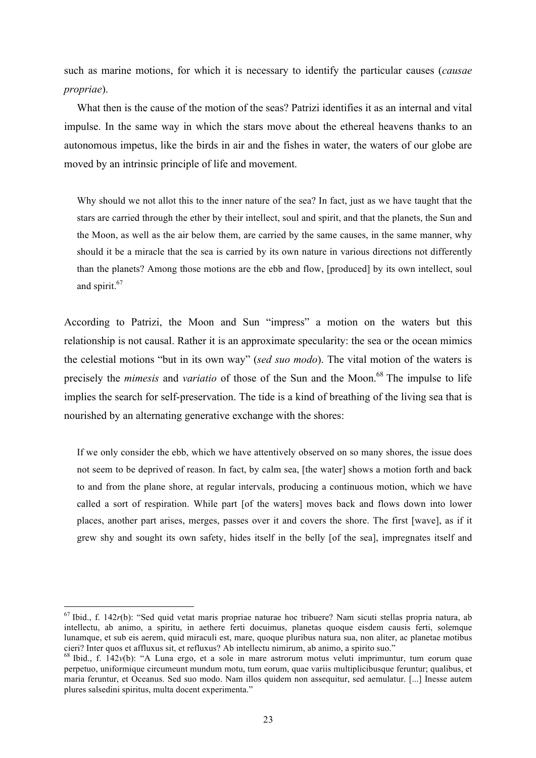such as marine motions, for which it is necessary to identify the particular causes (*causae propriae*).

What then is the cause of the motion of the seas? Patrizi identifies it as an internal and vital impulse. In the same way in which the stars move about the ethereal heavens thanks to an autonomous impetus, like the birds in air and the fishes in water, the waters of our globe are moved by an intrinsic principle of life and movement.

Why should we not allot this to the inner nature of the sea? In fact, just as we have taught that the stars are carried through the ether by their intellect, soul and spirit, and that the planets, the Sun and the Moon, as well as the air below them, are carried by the same causes, in the same manner, why should it be a miracle that the sea is carried by its own nature in various directions not differently than the planets? Among those motions are the ebb and flow, [produced] by its own intellect, soul and spirit.<sup>67</sup>

According to Patrizi, the Moon and Sun "impress" a motion on the waters but this relationship is not causal. Rather it is an approximate specularity: the sea or the ocean mimics the celestial motions "but in its own way" (*sed suo modo*). The vital motion of the waters is precisely the *mimesis* and *variatio* of those of the Sun and the Moon. <sup>68</sup> The impulse to life implies the search for self-preservation. The tide is a kind of breathing of the living sea that is nourished by an alternating generative exchange with the shores:

If we only consider the ebb, which we have attentively observed on so many shores, the issue does not seem to be deprived of reason. In fact, by calm sea, [the water] shows a motion forth and back to and from the plane shore, at regular intervals, producing a continuous motion, which we have called a sort of respiration. While part [of the waters] moves back and flows down into lower places, another part arises, merges, passes over it and covers the shore. The first [wave], as if it grew shy and sought its own safety, hides itself in the belly [of the sea], impregnates itself and

<sup>&</sup>lt;sup>67</sup> Ibid., f. 142*r*(b): "Sed quid vetat maris propriae naturae hoc tribuere? Nam sicuti stellas propria natura, ab intellectu, ab animo, a spiritu, in aethere ferti docuimus, planetas quoque eisdem causis ferti, solemque lunamque, et sub eis aerem, quid miraculi est, mare, quoque pluribus natura sua, non aliter, ac planetae motibus cieri? Inter quos et affluxus sit, et refluxus? Ab intellectu nimirum, ab animo, a spirito suo." <sup>68</sup> Ibid., f. 142*v*(b): "A Luna ergo, et a sole in mare astrorum motus veluti imprimuntur, tum eorum quae

perpetuo, uniformique circumeunt mundum motu, tum eorum, quae variis multiplicibusque feruntur; qualibus, et maria feruntur, et Oceanus. Sed suo modo. Nam illos quidem non assequitur, sed aemulatur. [...] Inesse autem plures salsedini spiritus, multa docent experimenta."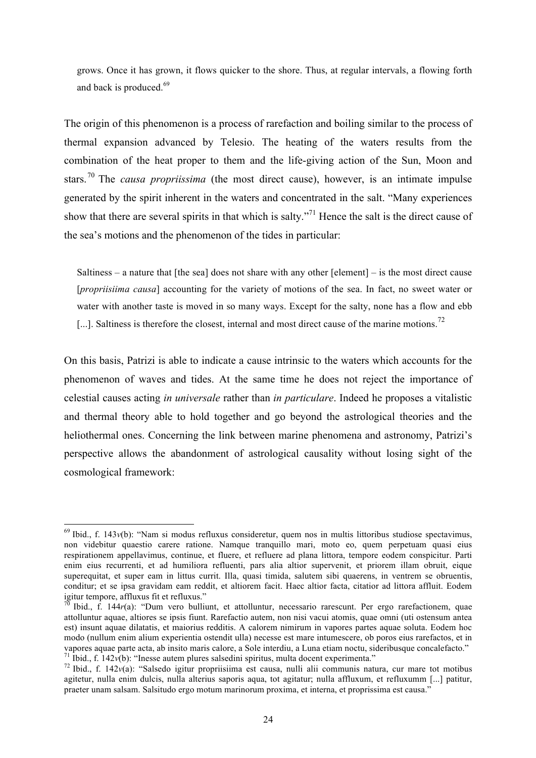grows. Once it has grown, it flows quicker to the shore. Thus, at regular intervals, a flowing forth and back is produced.<sup>69</sup>

The origin of this phenomenon is a process of rarefaction and boiling similar to the process of thermal expansion advanced by Telesio. The heating of the waters results from the combination of the heat proper to them and the life-giving action of the Sun, Moon and stars. <sup>70</sup> The *causa propriissima* (the most direct cause), however, is an intimate impulse generated by the spirit inherent in the waters and concentrated in the salt. "Many experiences show that there are several spirits in that which is salty."<sup>71</sup> Hence the salt is the direct cause of the sea's motions and the phenomenon of the tides in particular:

Saltiness – a nature that [the sea] does not share with any other [element] – is the most direct cause [*propriisiima causa*] accounting for the variety of motions of the sea. In fact, no sweet water or water with another taste is moved in so many ways. Except for the salty, none has a flow and ebb [...]. Saltiness is therefore the closest, internal and most direct cause of the marine motions.<sup>72</sup>

On this basis, Patrizi is able to indicate a cause intrinsic to the waters which accounts for the phenomenon of waves and tides. At the same time he does not reject the importance of celestial causes acting *in universale* rather than *in particulare*. Indeed he proposes a vitalistic and thermal theory able to hold together and go beyond the astrological theories and the heliothermal ones. Concerning the link between marine phenomena and astronomy, Patrizi's perspective allows the abandonment of astrological causality without losing sight of the cosmological framework:

 $^{69}$  Ibid., f. 143 $v(b)$ : "Nam si modus refluxus consideretur, quem nos in multis littoribus studiose spectavimus, non videbitur quaestio carere ratione. Namque tranquillo mari, moto eo, quem perpetuam quasi eius respirationem appellavimus, continue, et fluere, et refluere ad plana littora, tempore eodem conspicitur. Parti enim eius recurrenti, et ad humiliora refluenti, pars alia altior supervenit, et priorem illam obruit, eique superequitat, et super eam in littus currit. Illa, quasi timida, salutem sibi quaerens, in ventrem se obruentis, conditur; et se ipsa gravidam eam reddit, et altiorem facit. Haec altior facta, citatior ad littora affluit. Eodem igitur tempore, affluxus fit et refluxus."

 $\overline{0}$  Ibid., f. 144*r*(a): "Dum vero bulliunt, et attolluntur, necessario rarescunt. Per ergo rarefactionem, quae attolluntur aquae, altiores se ipsis fiunt. Rarefactio autem, non nisi vacui atomis, quae omni (uti ostensum antea est) insunt aquae dilatatis, et maiorius redditis. A calorem nimirum in vapores partes aquae soluta. Eodem hoc modo (nullum enim alium experientia ostendit ulla) necesse est mare intumescere, ob poros eius rarefactos, et in vapores aquae parte acta, ab insito maris calore, a Sole interdiu, a Luna etiam noctu, sideribusque concalefacto."<br><sup>71</sup> Ibid., f. 142v(b): "Inesse autem plures salsedini spiritus, multa docent experimenta."

<sup>&</sup>lt;sup>72</sup> Ibid., f. 142*v*(a): "Salsedo igitur propriisiima est causa, nulli alii communis natura, cur mare tot motibus agitetur, nulla enim dulcis, nulla alterius saporis aqua, tot agitatur; nulla affluxum, et refluxumm [...] patitur, praeter unam salsam. Salsitudo ergo motum marinorum proxima, et interna, et proprissima est causa."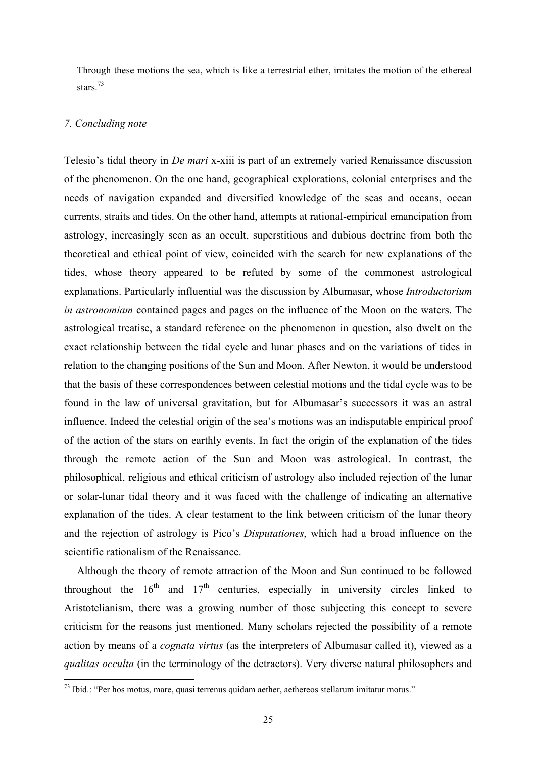Through these motions the sea, which is like a terrestrial ether, imitates the motion of the ethereal stars<sup>73</sup>

#### *7. Concluding note*

Telesio's tidal theory in *De mari* x-xiii is part of an extremely varied Renaissance discussion of the phenomenon. On the one hand, geographical explorations, colonial enterprises and the needs of navigation expanded and diversified knowledge of the seas and oceans, ocean currents, straits and tides. On the other hand, attempts at rational-empirical emancipation from astrology, increasingly seen as an occult, superstitious and dubious doctrine from both the theoretical and ethical point of view, coincided with the search for new explanations of the tides, whose theory appeared to be refuted by some of the commonest astrological explanations. Particularly influential was the discussion by Albumasar, whose *Introductorium in astronomiam* contained pages and pages on the influence of the Moon on the waters. The astrological treatise, a standard reference on the phenomenon in question, also dwelt on the exact relationship between the tidal cycle and lunar phases and on the variations of tides in relation to the changing positions of the Sun and Moon. After Newton, it would be understood that the basis of these correspondences between celestial motions and the tidal cycle was to be found in the law of universal gravitation, but for Albumasar's successors it was an astral influence. Indeed the celestial origin of the sea's motions was an indisputable empirical proof of the action of the stars on earthly events. In fact the origin of the explanation of the tides through the remote action of the Sun and Moon was astrological. In contrast, the philosophical, religious and ethical criticism of astrology also included rejection of the lunar or solar-lunar tidal theory and it was faced with the challenge of indicating an alternative explanation of the tides. A clear testament to the link between criticism of the lunar theory and the rejection of astrology is Pico's *Disputationes*, which had a broad influence on the scientific rationalism of the Renaissance.

Although the theory of remote attraction of the Moon and Sun continued to be followed throughout the  $16<sup>th</sup>$  and  $17<sup>th</sup>$  centuries, especially in university circles linked to Aristotelianism, there was a growing number of those subjecting this concept to severe criticism for the reasons just mentioned. Many scholars rejected the possibility of a remote action by means of a *cognata virtus* (as the interpreters of Albumasar called it), viewed as a *qualitas occulta* (in the terminology of the detractors). Very diverse natural philosophers and

 <sup>73</sup> Ibid.: "Per hos motus, mare, quasi terrenus quidam aether, aethereos stellarum imitatur motus."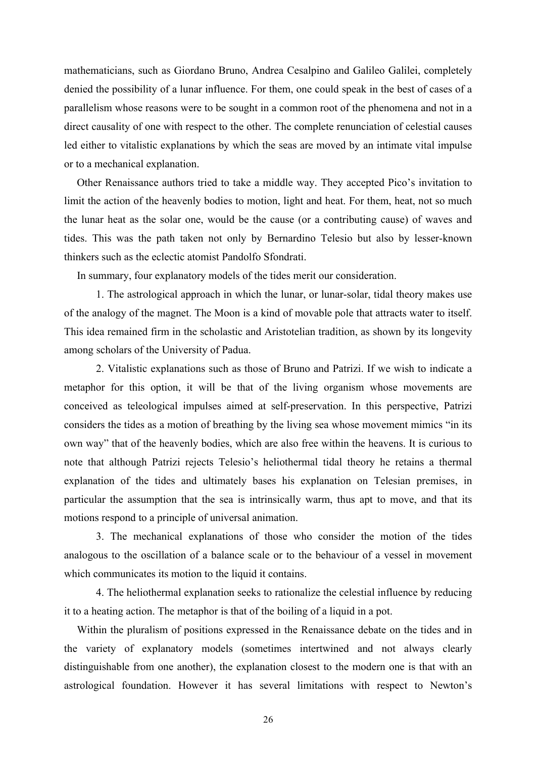mathematicians, such as Giordano Bruno, Andrea Cesalpino and Galileo Galilei, completely denied the possibility of a lunar influence. For them, one could speak in the best of cases of a parallelism whose reasons were to be sought in a common root of the phenomena and not in a direct causality of one with respect to the other. The complete renunciation of celestial causes led either to vitalistic explanations by which the seas are moved by an intimate vital impulse or to a mechanical explanation.

Other Renaissance authors tried to take a middle way. They accepted Pico's invitation to limit the action of the heavenly bodies to motion, light and heat. For them, heat, not so much the lunar heat as the solar one, would be the cause (or a contributing cause) of waves and tides. This was the path taken not only by Bernardino Telesio but also by lesser-known thinkers such as the eclectic atomist Pandolfo Sfondrati.

In summary, four explanatory models of the tides merit our consideration.

1. The astrological approach in which the lunar, or lunar-solar, tidal theory makes use of the analogy of the magnet. The Moon is a kind of movable pole that attracts water to itself. This idea remained firm in the scholastic and Aristotelian tradition, as shown by its longevity among scholars of the University of Padua.

2. Vitalistic explanations such as those of Bruno and Patrizi. If we wish to indicate a metaphor for this option, it will be that of the living organism whose movements are conceived as teleological impulses aimed at self-preservation. In this perspective, Patrizi considers the tides as a motion of breathing by the living sea whose movement mimics "in its own way" that of the heavenly bodies, which are also free within the heavens. It is curious to note that although Patrizi rejects Telesio's heliothermal tidal theory he retains a thermal explanation of the tides and ultimately bases his explanation on Telesian premises, in particular the assumption that the sea is intrinsically warm, thus apt to move, and that its motions respond to a principle of universal animation.

3. The mechanical explanations of those who consider the motion of the tides analogous to the oscillation of a balance scale or to the behaviour of a vessel in movement which communicates its motion to the liquid it contains.

4. The heliothermal explanation seeks to rationalize the celestial influence by reducing it to a heating action. The metaphor is that of the boiling of a liquid in a pot.

Within the pluralism of positions expressed in the Renaissance debate on the tides and in the variety of explanatory models (sometimes intertwined and not always clearly distinguishable from one another), the explanation closest to the modern one is that with an astrological foundation. However it has several limitations with respect to Newton's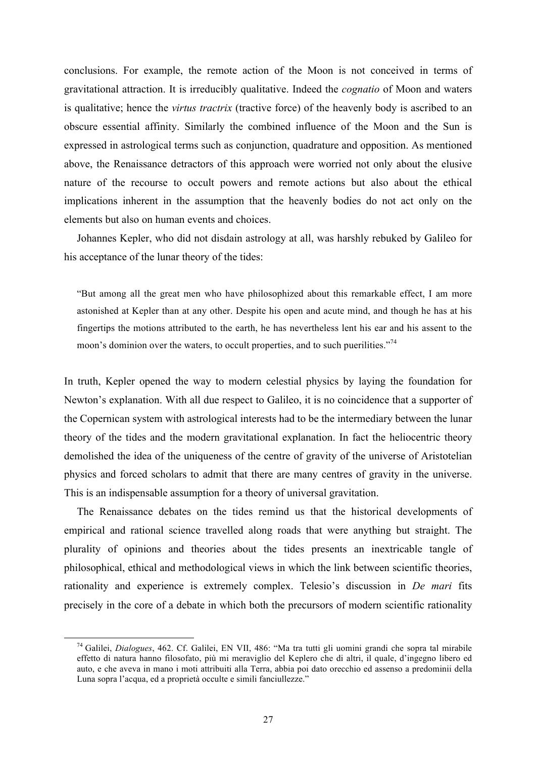conclusions. For example, the remote action of the Moon is not conceived in terms of gravitational attraction. It is irreducibly qualitative. Indeed the *cognatio* of Moon and waters is qualitative; hence the *virtus tractrix* (tractive force) of the heavenly body is ascribed to an obscure essential affinity. Similarly the combined influence of the Moon and the Sun is expressed in astrological terms such as conjunction, quadrature and opposition. As mentioned above, the Renaissance detractors of this approach were worried not only about the elusive nature of the recourse to occult powers and remote actions but also about the ethical implications inherent in the assumption that the heavenly bodies do not act only on the elements but also on human events and choices.

Johannes Kepler, who did not disdain astrology at all, was harshly rebuked by Galileo for his acceptance of the lunar theory of the tides:

"But among all the great men who have philosophized about this remarkable effect, I am more astonished at Kepler than at any other. Despite his open and acute mind, and though he has at his fingertips the motions attributed to the earth, he has nevertheless lent his ear and his assent to the moon's dominion over the waters, to occult properties, and to such puerilities."<sup>74</sup>

In truth, Kepler opened the way to modern celestial physics by laying the foundation for Newton's explanation. With all due respect to Galileo, it is no coincidence that a supporter of the Copernican system with astrological interests had to be the intermediary between the lunar theory of the tides and the modern gravitational explanation. In fact the heliocentric theory demolished the idea of the uniqueness of the centre of gravity of the universe of Aristotelian physics and forced scholars to admit that there are many centres of gravity in the universe. This is an indispensable assumption for a theory of universal gravitation.

The Renaissance debates on the tides remind us that the historical developments of empirical and rational science travelled along roads that were anything but straight. The plurality of opinions and theories about the tides presents an inextricable tangle of philosophical, ethical and methodological views in which the link between scientific theories, rationality and experience is extremely complex. Telesio's discussion in *De mari* fits precisely in the core of a debate in which both the precursors of modern scientific rationality

 <sup>74</sup> Galilei, *Dialogues*, 462. Cf. Galilei, EN VII, 486: "Ma tra tutti gli uomini grandi che sopra tal mirabile effetto di natura hanno filosofato, più mi meraviglio del Keplero che di altri, il quale, d'ingegno libero ed auto, e che aveva in mano i moti attribuiti alla Terra, abbia poi dato orecchio ed assenso a predominii della Luna sopra l'acqua, ed a proprietà occulte e simili fanciullezze."